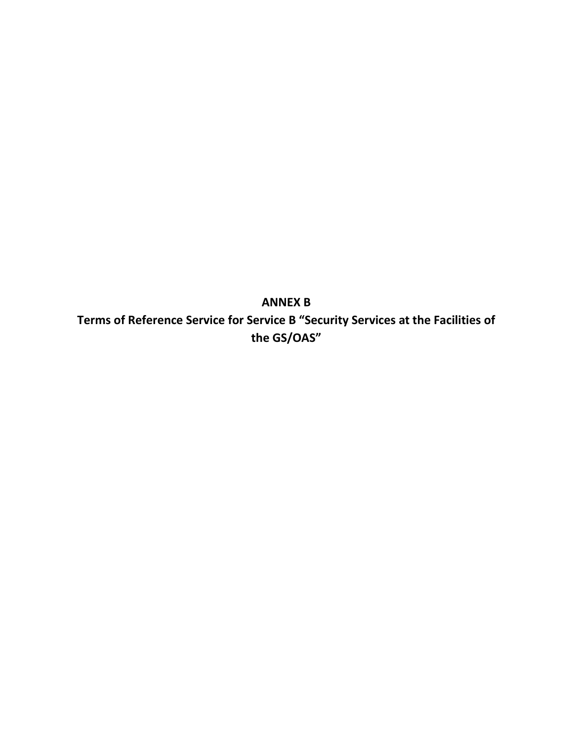**ANNEX B Terms of Reference Service for Service B "Security Services at the Facilities of the GS/OAS"**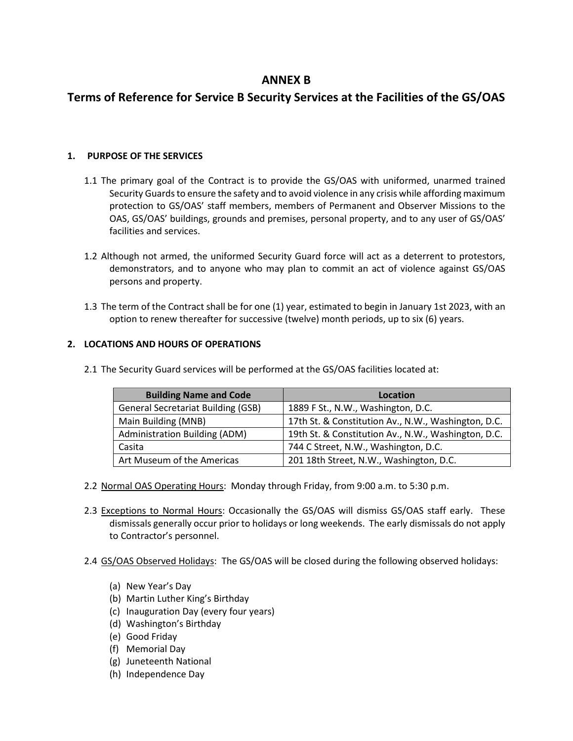# **ANNEX B**

# **Terms of Reference for Service B Security Services at the Facilities of the GS/OAS**

### **1. PURPOSE OF THE SERVICES**

- 1.1 The primary goal of the Contract is to provide the GS/OAS with uniformed, unarmed trained Security Guards to ensure the safety and to avoid violence in any crisis while affording maximum protection to GS/OAS' staff members, members of Permanent and Observer Missions to the OAS, GS/OAS' buildings, grounds and premises, personal property, and to any user of GS/OAS' facilities and services.
- 1.2 Although not armed, the uniformed Security Guard force will act as a deterrent to protestors, demonstrators, and to anyone who may plan to commit an act of violence against GS/OAS persons and property.
- 1.3 The term of the Contract shall be for one (1) year, estimated to begin in January 1st 2023, with an option to renew thereafter for successive (twelve) month periods, up to six (6) years.

### **2. LOCATIONS AND HOURS OF OPERATIONS**

| <b>Building Name and Code</b>             | Location                                            |
|-------------------------------------------|-----------------------------------------------------|
| <b>General Secretariat Building (GSB)</b> | 1889 F St., N.W., Washington, D.C.                  |
| Main Building (MNB)                       | 17th St. & Constitution Av., N.W., Washington, D.C. |
| <b>Administration Building (ADM)</b>      | 19th St. & Constitution Av., N.W., Washington, D.C. |
| Casita                                    | 744 C Street, N.W., Washington, D.C.                |
| Art Museum of the Americas                | 201 18th Street, N.W., Washington, D.C.             |

2.1 The Security Guard services will be performed at the GS/OAS facilities located at:

- 2.2 Normal OAS Operating Hours: Monday through Friday, from 9:00 a.m. to 5:30 p.m.
- 2.3 Exceptions to Normal Hours: Occasionally the GS/OAS will dismiss GS/OAS staff early. These dismissals generally occur prior to holidays or long weekends. The early dismissals do not apply to Contractor's personnel.
- 2.4 GS/OAS Observed Holidays: The GS/OAS will be closed during the following observed holidays:
	- (a) New Year's Day
	- (b) Martin Luther King's Birthday
	- (c) Inauguration Day (every four years)
	- (d) Washington's Birthday
	- (e) Good Friday
	- (f) Memorial Day
	- (g) Juneteenth National
	- (h) Independence Day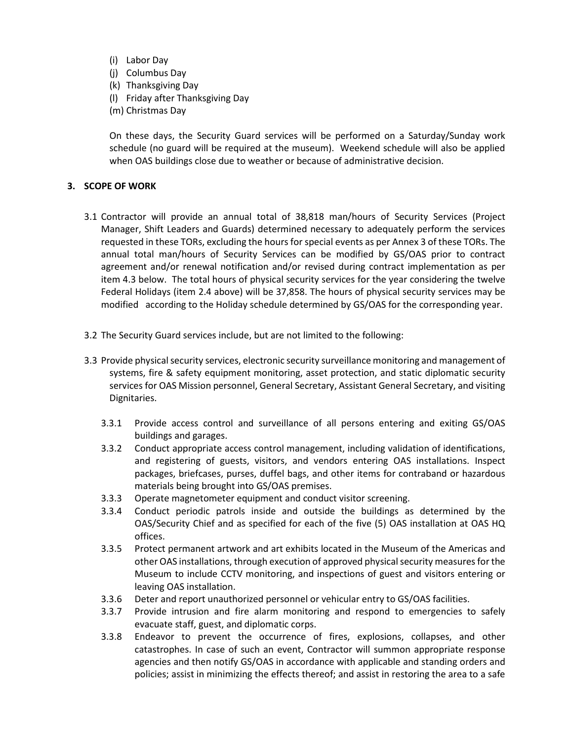- (i) Labor Day
- (j) Columbus Day
- (k) Thanksgiving Day
- (l) Friday after Thanksgiving Day
- (m) Christmas Day

On these days, the Security Guard services will be performed on a Saturday/Sunday work schedule (no guard will be required at the museum). Weekend schedule will also be applied when OAS buildings close due to weather or because of administrative decision.

### **3. SCOPE OF WORK**

- 3.1 Contractor will provide an annual total of 38,818 man/hours of Security Services (Project Manager, Shift Leaders and Guards) determined necessary to adequately perform the services requested in these TORs, excluding the hours for special events as per Annex 3 of these TORs. The annual total man/hours of Security Services can be modified by GS/OAS prior to contract agreement and/or renewal notification and/or revised during contract implementation as per item 4.3 below. The total hours of physical security services for the year considering the twelve Federal Holidays (item 2.4 above) will be 37,858. The hours of physical security services may be modified according to the Holiday schedule determined by GS/OAS for the corresponding year.
- 3.2 The Security Guard services include, but are not limited to the following:
- 3.3 Provide physical security services, electronic security surveillance monitoring and management of systems, fire & safety equipment monitoring, asset protection, and static diplomatic security services for OAS Mission personnel, General Secretary, Assistant General Secretary, and visiting Dignitaries.
	- 3.3.1 Provide access control and surveillance of all persons entering and exiting GS/OAS buildings and garages.
	- 3.3.2 Conduct appropriate access control management, including validation of identifications, and registering of guests, visitors, and vendors entering OAS installations. Inspect packages, briefcases, purses, duffel bags, and other items for contraband or hazardous materials being brought into GS/OAS premises.
	- 3.3.3 Operate magnetometer equipment and conduct visitor screening.
	- 3.3.4 Conduct periodic patrols inside and outside the buildings as determined by the OAS/Security Chief and as specified for each of the five (5) OAS installation at OAS HQ offices.
	- 3.3.5 Protect permanent artwork and art exhibits located in the Museum of the Americas and other OAS installations, through execution of approved physical security measures for the Museum to include CCTV monitoring, and inspections of guest and visitors entering or leaving OAS installation.
	- 3.3.6 Deter and report unauthorized personnel or vehicular entry to GS/OAS facilities.
	- 3.3.7 Provide intrusion and fire alarm monitoring and respond to emergencies to safely evacuate staff, guest, and diplomatic corps.
	- 3.3.8 Endeavor to prevent the occurrence of fires, explosions, collapses, and other catastrophes. In case of such an event, Contractor will summon appropriate response agencies and then notify GS/OAS in accordance with applicable and standing orders and policies; assist in minimizing the effects thereof; and assist in restoring the area to a safe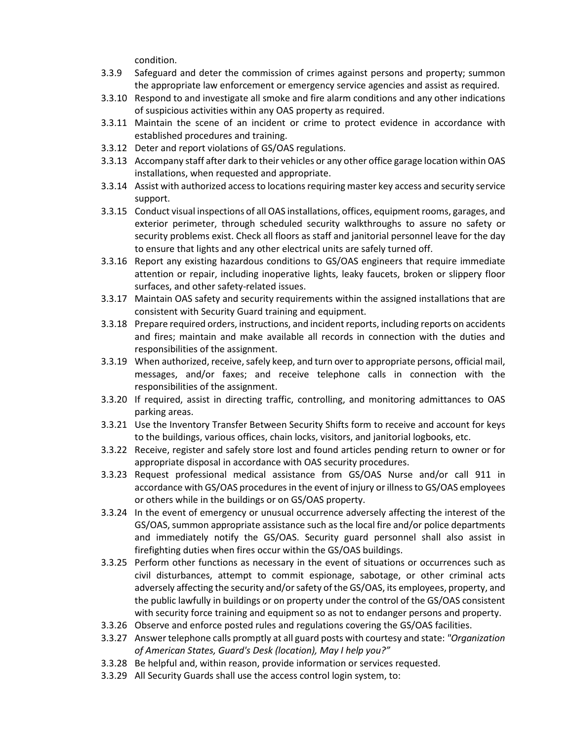condition.

- 3.3.9 Safeguard and deter the commission of crimes against persons and property; summon the appropriate law enforcement or emergency service agencies and assist as required.
- 3.3.10 Respond to and investigate all smoke and fire alarm conditions and any other indications of suspicious activities within any OAS property as required.
- 3.3.11 Maintain the scene of an incident or crime to protect evidence in accordance with established procedures and training.
- 3.3.12 Deter and report violations of GS/OAS regulations.
- 3.3.13 Accompany staff after dark to their vehicles or any other office garage location within OAS installations, when requested and appropriate.
- 3.3.14 Assist with authorized access to locations requiring master key access and security service support.
- 3.3.15 Conduct visual inspections of all OAS installations, offices, equipment rooms, garages, and exterior perimeter, through scheduled security walkthroughs to assure no safety or security problems exist. Check all floors as staff and janitorial personnel leave for the day to ensure that lights and any other electrical units are safely turned off.
- 3.3.16 Report any existing hazardous conditions to GS/OAS engineers that require immediate attention or repair, including inoperative lights, leaky faucets, broken or slippery floor surfaces, and other safety-related issues.
- 3.3.17 Maintain OAS safety and security requirements within the assigned installations that are consistent with Security Guard training and equipment.
- 3.3.18 Prepare required orders, instructions, and incident reports, including reports on accidents and fires; maintain and make available all records in connection with the duties and responsibilities of the assignment.
- 3.3.19 When authorized, receive, safely keep, and turn over to appropriate persons, official mail, messages, and/or faxes; and receive telephone calls in connection with the responsibilities of the assignment.
- 3.3.20 If required, assist in directing traffic, controlling, and monitoring admittances to OAS parking areas.
- 3.3.21 Use the Inventory Transfer Between Security Shifts form to receive and account for keys to the buildings, various offices, chain locks, visitors, and janitorial logbooks, etc.
- 3.3.22 Receive, register and safely store lost and found articles pending return to owner or for appropriate disposal in accordance with OAS security procedures.
- 3.3.23 Request professional medical assistance from GS/OAS Nurse and/or call 911 in accordance with GS/OAS procedures in the event of injury or illness to GS/OAS employees or others while in the buildings or on GS/OAS property.
- 3.3.24 In the event of emergency or unusual occurrence adversely affecting the interest of the GS/OAS, summon appropriate assistance such as the local fire and/or police departments and immediately notify the GS/OAS. Security guard personnel shall also assist in firefighting duties when fires occur within the GS/OAS buildings.
- 3.3.25 Perform other functions as necessary in the event of situations or occurrences such as civil disturbances, attempt to commit espionage, sabotage, or other criminal acts adversely affecting the security and/or safety of the GS/OAS, its employees, property, and the public lawfully in buildings or on property under the control of the GS/OAS consistent with security force training and equipment so as not to endanger persons and property.
- 3.3.26 Observe and enforce posted rules and regulations covering the GS/OAS facilities.
- 3.3.27 Answer telephone calls promptly at all guard posts with courtesy and state: *"Organization of American States, Guard's Desk (location), May I help you?"*
- 3.3.28 Be helpful and, within reason, provide information or services requested.
- 3.3.29 All Security Guards shall use the access control login system, to: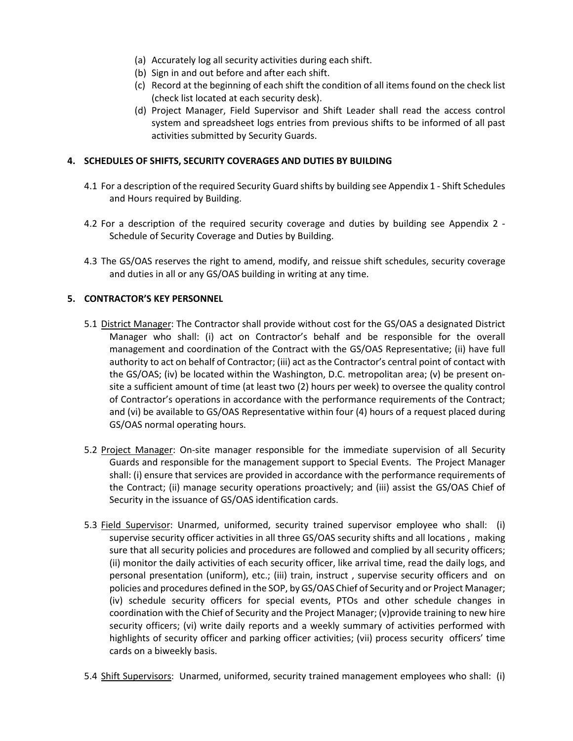- (a) Accurately log all security activities during each shift.
- (b) Sign in and out before and after each shift.
- (c) Record at the beginning of each shift the condition of all items found on the check list (check list located at each security desk).
- (d) Project Manager, Field Supervisor and Shift Leader shall read the access control system and spreadsheet logs entries from previous shifts to be informed of all past activities submitted by Security Guards.

### **4. SCHEDULES OF SHIFTS, SECURITY COVERAGES AND DUTIES BY BUILDING**

- 4.1 For a description of the required Security Guard shifts by building see Appendix 1 Shift Schedules and Hours required by Building.
- 4.2 For a description of the required security coverage and duties by building see Appendix 2 Schedule of Security Coverage and Duties by Building.
- 4.3 The GS/OAS reserves the right to amend, modify, and reissue shift schedules, security coverage and duties in all or any GS/OAS building in writing at any time.

### **5. CONTRACTOR'S KEY PERSONNEL**

- 5.1 District Manager: The Contractor shall provide without cost for the GS/OAS a designated District Manager who shall: (i) act on Contractor's behalf and be responsible for the overall management and coordination of the Contract with the GS/OAS Representative; (ii) have full authority to act on behalf of Contractor; (iii) act as the Contractor's central point of contact with the GS/OAS; (iv) be located within the Washington, D.C. metropolitan area; (v) be present onsite a sufficient amount of time (at least two (2) hours per week) to oversee the quality control of Contractor's operations in accordance with the performance requirements of the Contract; and (vi) be available to GS/OAS Representative within four (4) hours of a request placed during GS/OAS normal operating hours.
- 5.2 Project Manager: On-site manager responsible for the immediate supervision of all Security Guards and responsible for the management support to Special Events. The Project Manager shall: (i) ensure that services are provided in accordance with the performance requirements of the Contract; (ii) manage security operations proactively; and (iii) assist the GS/OAS Chief of Security in the issuance of GS/OAS identification cards.
- 5.3 Field Supervisor: Unarmed, uniformed, security trained supervisor employee who shall: (i) supervise security officer activities in all three GS/OAS security shifts and all locations , making sure that all security policies and procedures are followed and complied by all security officers; (ii) monitor the daily activities of each security officer, like arrival time, read the daily logs, and personal presentation (uniform), etc.; (iii) train, instruct , supervise security officers and on policies and procedures defined in the SOP, by GS/OAS Chief of Security and or Project Manager; (iv) schedule security officers for special events, PTOs and other schedule changes in coordination with the Chief of Security and the Project Manager; (v)provide training to new hire security officers; (vi) write daily reports and a weekly summary of activities performed with highlights of security officer and parking officer activities; (vii) process security officers' time cards on a biweekly basis.
- 5.4 Shift Supervisors: Unarmed, uniformed, security trained management employees who shall: (i)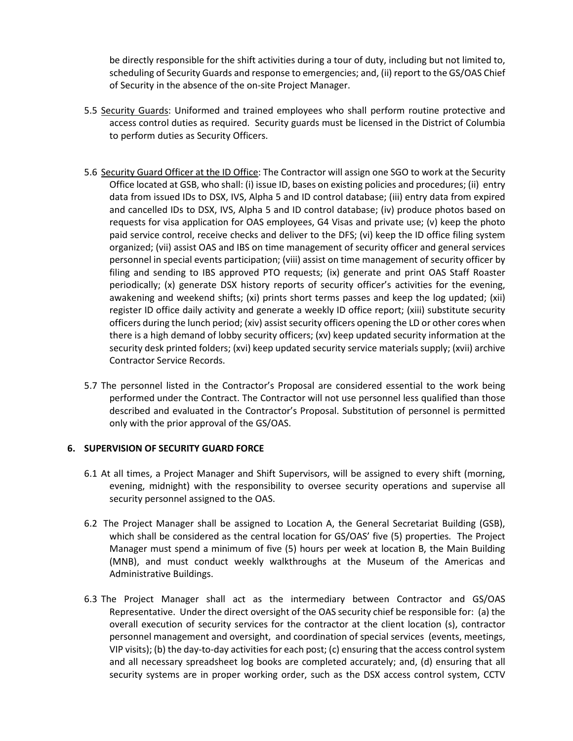be directly responsible for the shift activities during a tour of duty, including but not limited to, scheduling of Security Guards and response to emergencies; and, (ii) report to the GS/OAS Chief of Security in the absence of the on-site Project Manager.

- 5.5 Security Guards: Uniformed and trained employees who shall perform routine protective and access control duties as required. Security guards must be licensed in the District of Columbia to perform duties as Security Officers.
- 5.6 Security Guard Officer at the ID Office: The Contractor will assign one SGO to work at the Security Office located at GSB, who shall: (i) issue ID, bases on existing policies and procedures; (ii) entry data from issued IDs to DSX, IVS, Alpha 5 and ID control database; (iii) entry data from expired and cancelled IDs to DSX, IVS, Alpha 5 and ID control database; (iv) produce photos based on requests for visa application for OAS employees, G4 Visas and private use; (v) keep the photo paid service control, receive checks and deliver to the DFS; (vi) keep the ID office filing system organized; (vii) assist OAS and IBS on time management of security officer and general services personnel in special events participation; (viii) assist on time management of security officer by filing and sending to IBS approved PTO requests; (ix) generate and print OAS Staff Roaster periodically; (x) generate DSX history reports of security officer's activities for the evening, awakening and weekend shifts; (xi) prints short terms passes and keep the log updated; (xii) register ID office daily activity and generate a weekly ID office report; (xiii) substitute security officers during the lunch period; (xiv) assist security officers opening the LD or other cores when there is a high demand of lobby security officers; (xv) keep updated security information at the security desk printed folders; (xvi) keep updated security service materials supply; (xvii) archive Contractor Service Records.
- 5.7 The personnel listed in the Contractor's Proposal are considered essential to the work being performed under the Contract. The Contractor will not use personnel less qualified than those described and evaluated in the Contractor's Proposal. Substitution of personnel is permitted only with the prior approval of the GS/OAS.

### **6. SUPERVISION OF SECURITY GUARD FORCE**

- 6.1 At all times, a Project Manager and Shift Supervisors, will be assigned to every shift (morning, evening, midnight) with the responsibility to oversee security operations and supervise all security personnel assigned to the OAS.
- 6.2 The Project Manager shall be assigned to Location A, the General Secretariat Building (GSB), which shall be considered as the central location for GS/OAS' five (5) properties. The Project Manager must spend a minimum of five (5) hours per week at location B, the Main Building (MNB), and must conduct weekly walkthroughs at the Museum of the Americas and Administrative Buildings.
- 6.3 The Project Manager shall act as the intermediary between Contractor and GS/OAS Representative. Under the direct oversight of the OAS security chief be responsible for: (a) the overall execution of security services for the contractor at the client location (s), contractor personnel management and oversight, and coordination of special services (events, meetings, VIP visits); (b) the day-to-day activities for each post; (c) ensuring that the access control system and all necessary spreadsheet log books are completed accurately; and, (d) ensuring that all security systems are in proper working order, such as the DSX access control system, CCTV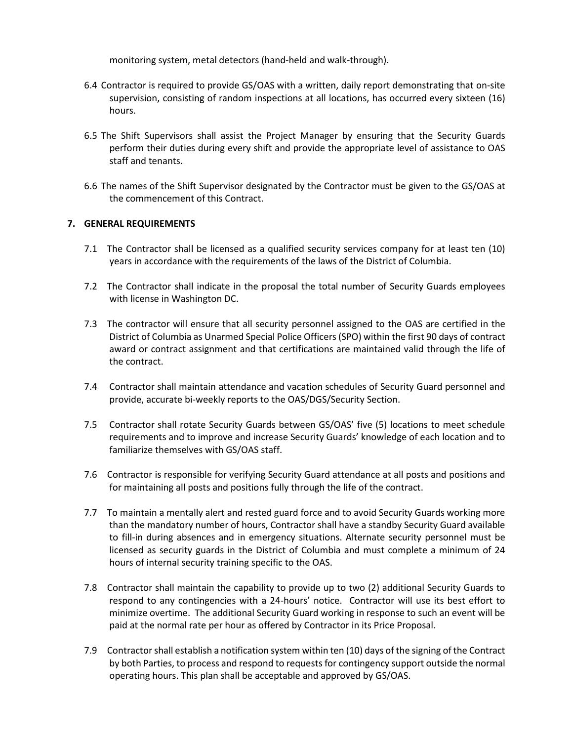monitoring system, metal detectors (hand-held and walk-through).

- 6.4 Contractor is required to provide GS/OAS with a written, daily report demonstrating that on-site supervision, consisting of random inspections at all locations, has occurred every sixteen (16) hours.
- 6.5 The Shift Supervisors shall assist the Project Manager by ensuring that the Security Guards perform their duties during every shift and provide the appropriate level of assistance to OAS staff and tenants.
- 6.6 The names of the Shift Supervisor designated by the Contractor must be given to the GS/OAS at the commencement of this Contract.

### **7. GENERAL REQUIREMENTS**

- 7.1 The Contractor shall be licensed as a qualified security services company for at least ten (10) years in accordance with the requirements of the laws of the District of Columbia.
- 7.2 The Contractor shall indicate in the proposal the total number of Security Guards employees with license in Washington DC.
- 7.3 The contractor will ensure that all security personnel assigned to the OAS are certified in the District of Columbia as Unarmed Special Police Officers (SPO) within the first 90 days of contract award or contract assignment and that certifications are maintained valid through the life of the contract.
- 7.4 Contractor shall maintain attendance and vacation schedules of Security Guard personnel and provide, accurate bi-weekly reports to the OAS/DGS/Security Section.
- 7.5 Contractor shall rotate Security Guards between GS/OAS' five (5) locations to meet schedule requirements and to improve and increase Security Guards' knowledge of each location and to familiarize themselves with GS/OAS staff.
- 7.6 Contractor is responsible for verifying Security Guard attendance at all posts and positions and for maintaining all posts and positions fully through the life of the contract.
- 7.7 To maintain a mentally alert and rested guard force and to avoid Security Guards working more than the mandatory number of hours, Contractor shall have a standby Security Guard available to fill-in during absences and in emergency situations. Alternate security personnel must be licensed as security guards in the District of Columbia and must complete a minimum of 24 hours of internal security training specific to the OAS.
- 7.8 Contractor shall maintain the capability to provide up to two (2) additional Security Guards to respond to any contingencies with a 24-hours' notice. Contractor will use its best effort to minimize overtime. The additional Security Guard working in response to such an event will be paid at the normal rate per hour as offered by Contractor in its Price Proposal.
- 7.9 Contractor shall establish a notification system within ten (10) days of the signing of the Contract by both Parties, to process and respond to requests for contingency support outside the normal operating hours. This plan shall be acceptable and approved by GS/OAS.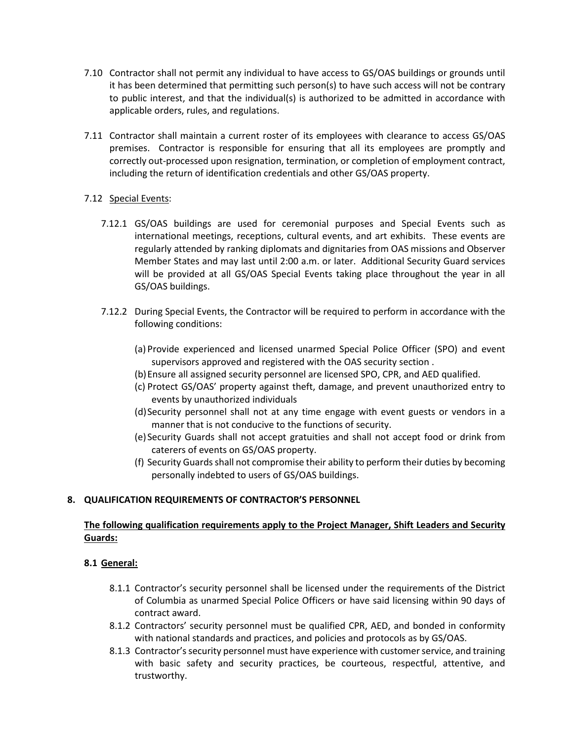- 7.10 Contractor shall not permit any individual to have access to GS/OAS buildings or grounds until it has been determined that permitting such person(s) to have such access will not be contrary to public interest, and that the individual(s) is authorized to be admitted in accordance with applicable orders, rules, and regulations.
- 7.11 Contractor shall maintain a current roster of its employees with clearance to access GS/OAS premises. Contractor is responsible for ensuring that all its employees are promptly and correctly out-processed upon resignation, termination, or completion of employment contract, including the return of identification credentials and other GS/OAS property.

# 7.12 Special Events:

- 7.12.1 GS/OAS buildings are used for ceremonial purposes and Special Events such as international meetings, receptions, cultural events, and art exhibits. These events are regularly attended by ranking diplomats and dignitaries from OAS missions and Observer Member States and may last until 2:00 a.m. or later. Additional Security Guard services will be provided at all GS/OAS Special Events taking place throughout the year in all GS/OAS buildings.
- 7.12.2 During Special Events, the Contractor will be required to perform in accordance with the following conditions:
	- (a) Provide experienced and licensed unarmed Special Police Officer (SPO) and event supervisors approved and registered with the OAS security section .
	- (b)Ensure all assigned security personnel are licensed SPO, CPR, and AED qualified.
	- (c) Protect GS/OAS' property against theft, damage, and prevent unauthorized entry to events by unauthorized individuals
	- (d)Security personnel shall not at any time engage with event guests or vendors in a manner that is not conducive to the functions of security.
	- (e) Security Guards shall not accept gratuities and shall not accept food or drink from caterers of events on GS/OAS property.
	- (f) Security Guards shall not compromise their ability to perform their duties by becoming personally indebted to users of GS/OAS buildings.

# **8. QUALIFICATION REQUIREMENTS OF CONTRACTOR'S PERSONNEL**

# **The following qualification requirements apply to the Project Manager, Shift Leaders and Security Guards:**

# **8.1 General:**

- 8.1.1 Contractor's security personnel shall be licensed under the requirements of the District of Columbia as unarmed Special Police Officers or have said licensing within 90 days of contract award.
- 8.1.2 Contractors' security personnel must be qualified CPR, AED, and bonded in conformity with national standards and practices, and policies and protocols as by GS/OAS.
- 8.1.3 Contractor's security personnel must have experience with customer service, and training with basic safety and security practices, be courteous, respectful, attentive, and trustworthy.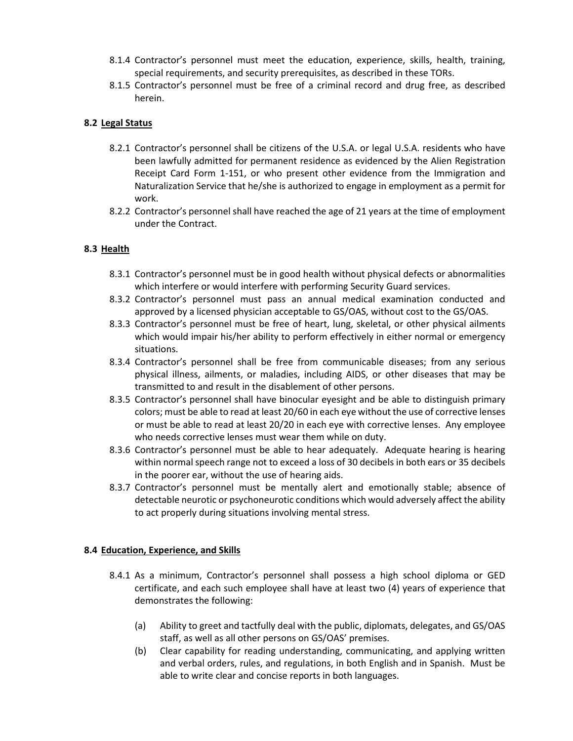- 8.1.4 Contractor's personnel must meet the education, experience, skills, health, training, special requirements, and security prerequisites, as described in these TORs.
- 8.1.5 Contractor's personnel must be free of a criminal record and drug free, as described herein.

# **8.2 Legal Status**

- 8.2.1 Contractor's personnel shall be citizens of the U.S.A. or legal U.S.A. residents who have been lawfully admitted for permanent residence as evidenced by the Alien Registration Receipt Card Form 1-151, or who present other evidence from the Immigration and Naturalization Service that he/she is authorized to engage in employment as a permit for work.
- 8.2.2 Contractor's personnel shall have reached the age of 21 years at the time of employment under the Contract.

# **8.3 Health**

- 8.3.1 Contractor's personnel must be in good health without physical defects or abnormalities which interfere or would interfere with performing Security Guard services.
- 8.3.2 Contractor's personnel must pass an annual medical examination conducted and approved by a licensed physician acceptable to GS/OAS, without cost to the GS/OAS.
- 8.3.3 Contractor's personnel must be free of heart, lung, skeletal, or other physical ailments which would impair his/her ability to perform effectively in either normal or emergency situations.
- 8.3.4 Contractor's personnel shall be free from communicable diseases; from any serious physical illness, ailments, or maladies, including AIDS, or other diseases that may be transmitted to and result in the disablement of other persons.
- 8.3.5 Contractor's personnel shall have binocular eyesight and be able to distinguish primary colors; must be able to read at least 20/60 in each eye without the use of corrective lenses or must be able to read at least 20/20 in each eye with corrective lenses. Any employee who needs corrective lenses must wear them while on duty.
- 8.3.6 Contractor's personnel must be able to hear adequately. Adequate hearing is hearing within normal speech range not to exceed a loss of 30 decibels in both ears or 35 decibels in the poorer ear, without the use of hearing aids.
- 8.3.7 Contractor's personnel must be mentally alert and emotionally stable; absence of detectable neurotic or psychoneurotic conditions which would adversely affect the ability to act properly during situations involving mental stress.

### **8.4 Education, Experience, and Skills**

- 8.4.1 As a minimum, Contractor's personnel shall possess a high school diploma or GED certificate, and each such employee shall have at least two (4) years of experience that demonstrates the following:
	- (a) Ability to greet and tactfully deal with the public, diplomats, delegates, and GS/OAS staff, as well as all other persons on GS/OAS' premises.
	- (b) Clear capability for reading understanding, communicating, and applying written and verbal orders, rules, and regulations, in both English and in Spanish. Must be able to write clear and concise reports in both languages.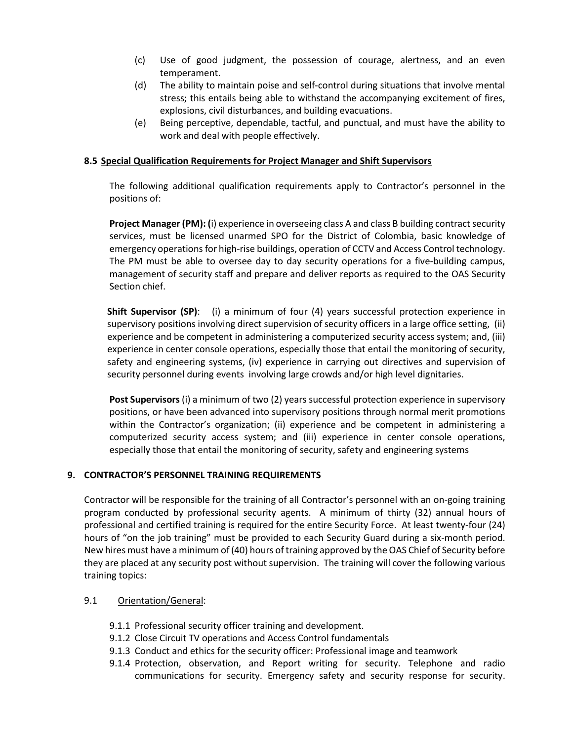- (c) Use of good judgment, the possession of courage, alertness, and an even temperament.
- (d) The ability to maintain poise and self-control during situations that involve mental stress; this entails being able to withstand the accompanying excitement of fires, explosions, civil disturbances, and building evacuations.
- (e) Being perceptive, dependable, tactful, and punctual, and must have the ability to work and deal with people effectively.

### **8.5 Special Qualification Requirements for Project Manager and Shift Supervisors**

The following additional qualification requirements apply to Contractor's personnel in the positions of:

**Project Manager (PM): (**i) experience in overseeing class A and class B building contract security services, must be licensed unarmed SPO for the District of Colombia, basic knowledge of emergency operations for high-rise buildings, operation of CCTV and Access Control technology. The PM must be able to oversee day to day security operations for a five-building campus, management of security staff and prepare and deliver reports as required to the OAS Security Section chief.

**Shift Supervisor (SP)**: (i) a minimum of four (4) years successful protection experience in supervisory positions involving direct supervision of security officers in a large office setting, (ii) experience and be competent in administering a computerized security access system; and, (iii) experience in center console operations, especially those that entail the monitoring of security, safety and engineering systems, (iv) experience in carrying out directives and supervision of security personnel during events involving large crowds and/or high level dignitaries.

**Post Supervisors** (i) a minimum of two (2) years successful protection experience in supervisory positions, or have been advanced into supervisory positions through normal merit promotions within the Contractor's organization; (ii) experience and be competent in administering a computerized security access system; and (iii) experience in center console operations, especially those that entail the monitoring of security, safety and engineering systems

### **9. CONTRACTOR'S PERSONNEL TRAINING REQUIREMENTS**

Contractor will be responsible for the training of all Contractor's personnel with an on-going training program conducted by professional security agents. A minimum of thirty (32) annual hours of professional and certified training is required for the entire Security Force. At least twenty-four (24) hours of "on the job training" must be provided to each Security Guard during a six-month period. New hires must have a minimum of (40) hours of training approved by the OAS Chief of Security before they are placed at any security post without supervision. The training will cover the following various training topics:

#### 9.1 Orientation/General:

- 9.1.1 Professional security officer training and development.
- 9.1.2 Close Circuit TV operations and Access Control fundamentals
- 9.1.3 Conduct and ethics for the security officer: Professional image and teamwork
- 9.1.4 Protection, observation, and Report writing for security. Telephone and radio communications for security. Emergency safety and security response for security.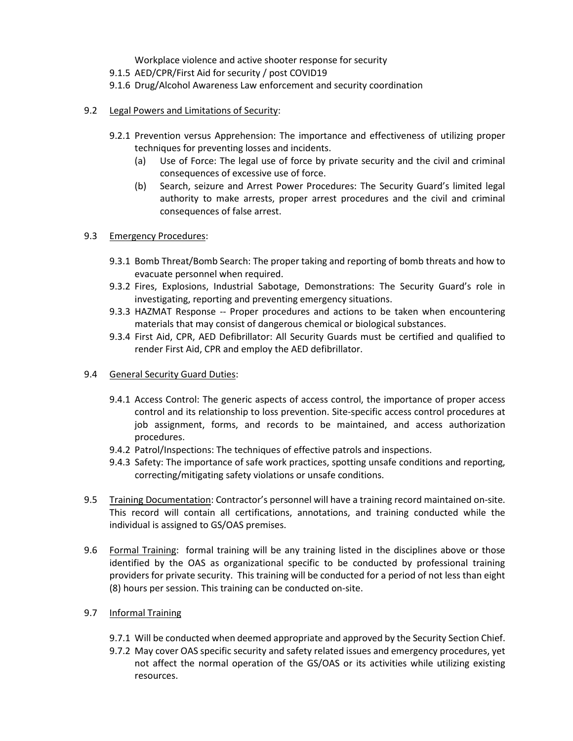Workplace violence and active shooter response for security

- 9.1.5 AED/CPR/First Aid for security / post COVID19
- 9.1.6 Drug/Alcohol Awareness Law enforcement and security coordination
- 9.2 Legal Powers and Limitations of Security:
	- 9.2.1 Prevention versus Apprehension: The importance and effectiveness of utilizing proper techniques for preventing losses and incidents.
		- (a) Use of Force: The legal use of force by private security and the civil and criminal consequences of excessive use of force.
		- (b) Search, seizure and Arrest Power Procedures: The Security Guard's limited legal authority to make arrests, proper arrest procedures and the civil and criminal consequences of false arrest.
- 9.3 Emergency Procedures:
	- 9.3.1 Bomb Threat/Bomb Search: The proper taking and reporting of bomb threats and how to evacuate personnel when required.
	- 9.3.2 Fires, Explosions, Industrial Sabotage, Demonstrations: The Security Guard's role in investigating, reporting and preventing emergency situations.
	- 9.3.3 HAZMAT Response -- Proper procedures and actions to be taken when encountering materials that may consist of dangerous chemical or biological substances.
	- 9.3.4 First Aid, CPR, AED Defibrillator: All Security Guards must be certified and qualified to render First Aid, CPR and employ the AED defibrillator.
- 9.4 General Security Guard Duties:
	- 9.4.1 Access Control: The generic aspects of access control, the importance of proper access control and its relationship to loss prevention. Site-specific access control procedures at job assignment, forms, and records to be maintained, and access authorization procedures.
	- 9.4.2 Patrol/Inspections: The techniques of effective patrols and inspections.
	- 9.4.3 Safety: The importance of safe work practices, spotting unsafe conditions and reporting, correcting/mitigating safety violations or unsafe conditions.
- 9.5 Training Documentation: Contractor's personnel will have a training record maintained on-site. This record will contain all certifications, annotations, and training conducted while the individual is assigned to GS/OAS premises.
- 9.6 Formal Training: formal training will be any training listed in the disciplines above or those identified by the OAS as organizational specific to be conducted by professional training providers for private security. This training will be conducted for a period of not less than eight (8) hours per session. This training can be conducted on-site.
- 9.7 Informal Training
	- 9.7.1 Will be conducted when deemed appropriate and approved by the Security Section Chief.
	- 9.7.2 May cover OAS specific security and safety related issues and emergency procedures, yet not affect the normal operation of the GS/OAS or its activities while utilizing existing resources.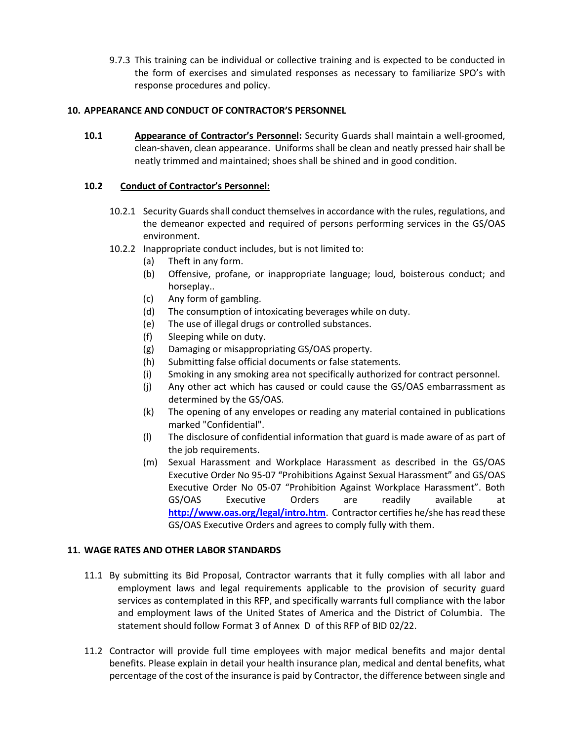9.7.3 This training can be individual or collective training and is expected to be conducted in the form of exercises and simulated responses as necessary to familiarize SPO's with response procedures and policy.

### **10. APPEARANCE AND CONDUCT OF CONTRACTOR'S PERSONNEL**

**10.1 Appearance of Contractor's Personnel:** Security Guards shall maintain a well-groomed, clean-shaven, clean appearance. Uniforms shall be clean and neatly pressed hair shall be neatly trimmed and maintained; shoes shall be shined and in good condition.

### **10.2 Conduct of Contractor's Personnel:**

- 10.2.1 Security Guards shall conduct themselves in accordance with the rules, regulations, and the demeanor expected and required of persons performing services in the GS/OAS environment.
- 10.2.2 Inappropriate conduct includes, but is not limited to:
	- (a) Theft in any form.
	- (b) Offensive, profane, or inappropriate language; loud, boisterous conduct; and horseplay..
	- (c) Any form of gambling.
	- (d) The consumption of intoxicating beverages while on duty.
	- (e) The use of illegal drugs or controlled substances.
	- (f) Sleeping while on duty.
	- (g) Damaging or misappropriating GS/OAS property.
	- (h) Submitting false official documents or false statements.
	- (i) Smoking in any smoking area not specifically authorized for contract personnel.
	- (j) Any other act which has caused or could cause the GS/OAS embarrassment as determined by the GS/OAS.
	- (k) The opening of any envelopes or reading any material contained in publications marked "Confidential".
	- (l) The disclosure of confidential information that guard is made aware of as part of the job requirements.
	- (m) Sexual Harassment and Workplace Harassment as described in the GS/OAS Executive Order No 95-07 "Prohibitions Against Sexual Harassment" and GS/OAS Executive Order No 05-07 "Prohibition Against Workplace Harassment". Both GS/OAS Executive Orders are readily available at **<http://www.oas.org/legal/intro.htm>**. Contractor certifies he/she has read these GS/OAS Executive Orders and agrees to comply fully with them.

### **11. WAGE RATES AND OTHER LABOR STANDARDS**

- 11.1 By submitting its Bid Proposal, Contractor warrants that it fully complies with all labor and employment laws and legal requirements applicable to the provision of security guard services as contemplated in this RFP, and specifically warrants full compliance with the labor and employment laws of the United States of America and the District of Columbia. The statement should follow Format 3 of Annex D of this RFP of BID 02/22.
- 11.2 Contractor will provide full time employees with major medical benefits and major dental benefits. Please explain in detail your health insurance plan, medical and dental benefits, what percentage of the cost of the insurance is paid by Contractor, the difference between single and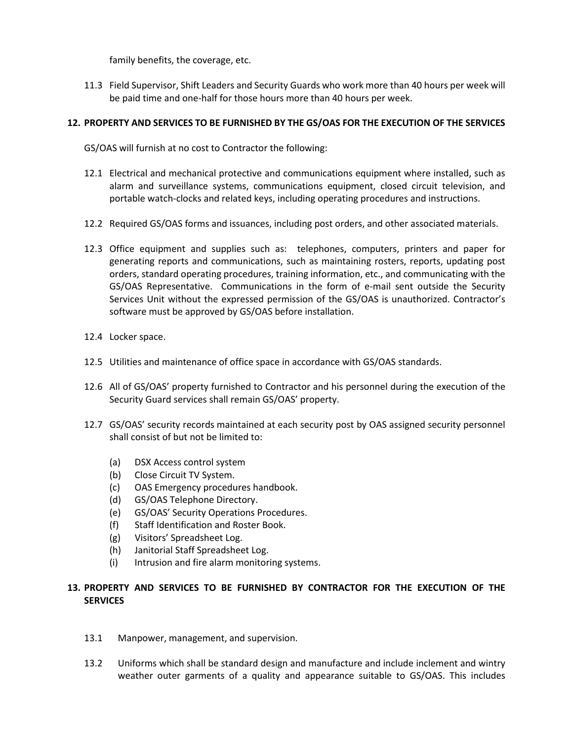family benefits, the coverage, etc.

11.3 Field Supervisor, Shift Leaders and Security Guards who work more than 40 hours per week will be paid time and one-half for those hours more than 40 hours per week.

### **12. PROPERTY AND SERVICES TO BE FURNISHED BY THE GS/OAS FOR THE EXECUTION OF THE SERVICES**

GS/OAS will furnish at no cost to Contractor the following:

- 12.1 Electrical and mechanical protective and communications equipment where installed, such as alarm and surveillance systems, communications equipment, closed circuit television, and portable watch-clocks and related keys, including operating procedures and instructions.
- 12.2 Required GS/OAS forms and issuances, including post orders, and other associated materials.
- 12.3 Office equipment and supplies such as: telephones, computers, printers and paper for generating reports and communications, such as maintaining rosters, reports, updating post orders, standard operating procedures, training information, etc., and communicating with the GS/OAS Representative. Communications in the form of e-mail sent outside the Security Services Unit without the expressed permission of the GS/OAS is unauthorized. Contractor's software must be approved by GS/OAS before installation.
- 12.4 Locker space.
- 12.5 Utilities and maintenance of office space in accordance with GS/OAS standards.
- 12.6 All of GS/OAS' property furnished to Contractor and his personnel during the execution of the Security Guard services shall remain GS/OAS' property.
- 12.7 GS/OAS' security records maintained at each security post by OAS assigned security personnel shall consist of but not be limited to:
	- (a) DSX Access control system
	- (b) Close Circuit TV System.
	- (c) OAS Emergency procedures handbook.
	- (d) GS/OAS Telephone Directory.
	- (e) GS/OAS' Security Operations Procedures.
	- (f) Staff Identification and Roster Book.
	- (g) Visitors' Spreadsheet Log.
	- (h) Janitorial Staff Spreadsheet Log.
	- (i) Intrusion and fire alarm monitoring systems.

# **13. PROPERTY AND SERVICES TO BE FURNISHED BY CONTRACTOR FOR THE EXECUTION OF THE SERVICES**

- 13.1 Manpower, management, and supervision.
- 13.2 Uniforms which shall be standard design and manufacture and include inclement and wintry weather outer garments of a quality and appearance suitable to GS/OAS. This includes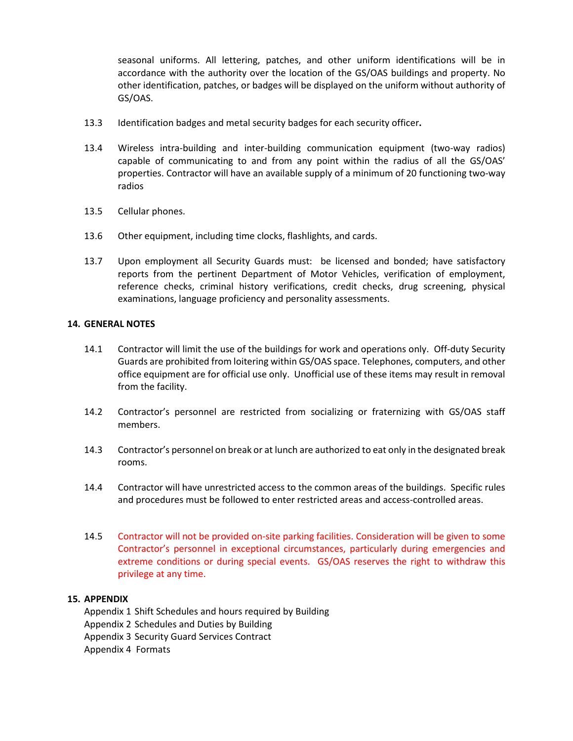seasonal uniforms. All lettering, patches, and other uniform identifications will be in accordance with the authority over the location of the GS/OAS buildings and property. No other identification, patches, or badges will be displayed on the uniform without authority of GS/OAS.

- 13.3 Identification badges and metal security badges for each security officer**.**
- 13.4 Wireless intra-building and inter-building communication equipment (two-way radios) capable of communicating to and from any point within the radius of all the GS/OAS' properties. Contractor will have an available supply of a minimum of 20 functioning two-way radios
- 13.5 Cellular phones.
- 13.6 Other equipment, including time clocks, flashlights, and cards.
- 13.7 Upon employment all Security Guards must: be licensed and bonded; have satisfactory reports from the pertinent Department of Motor Vehicles, verification of employment, reference checks, criminal history verifications, credit checks, drug screening, physical examinations, language proficiency and personality assessments.

### **14. GENERAL NOTES**

- 14.1 Contractor will limit the use of the buildings for work and operations only. Off-duty Security Guards are prohibited from loitering within GS/OAS space. Telephones, computers, and other office equipment are for official use only. Unofficial use of these items may result in removal from the facility.
- 14.2 Contractor's personnel are restricted from socializing or fraternizing with GS/OAS staff members.
- 14.3 Contractor's personnel on break or at lunch are authorized to eat only in the designated break rooms.
- 14.4 Contractor will have unrestricted access to the common areas of the buildings. Specific rules and procedures must be followed to enter restricted areas and access-controlled areas.
- 14.5 Contractor will not be provided on-site parking facilities. Consideration will be given to some Contractor's personnel in exceptional circumstances, particularly during emergencies and extreme conditions or during special events. GS/OAS reserves the right to withdraw this privilege at any time.

### **15. APPENDIX**

Appendix 1 Shift Schedules and hours required by Building Appendix 2 Schedules and Duties by Building Appendix 3 Security Guard Services Contract Appendix 4 Formats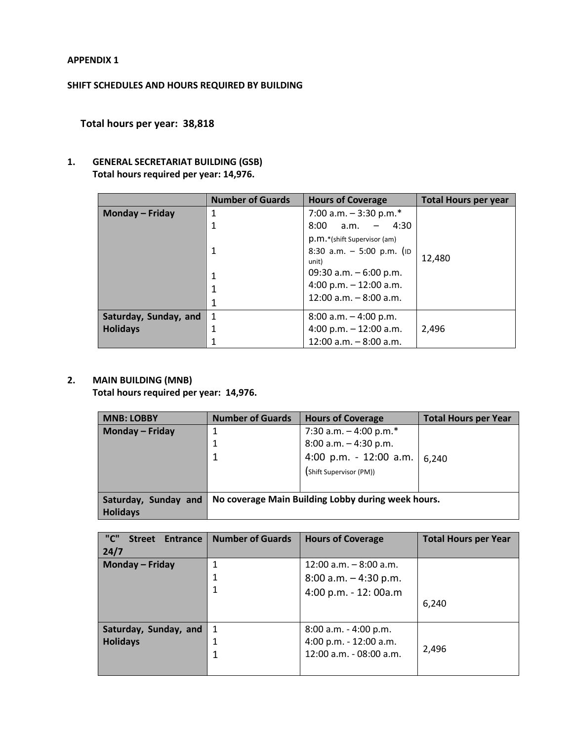### **APPENDIX 1**

# **SHIFT SCHEDULES AND HOURS REQUIRED BY BUILDING**

**Total hours per year: 38,818**

# **1. GENERAL SECRETARIAT BUILDING (GSB) Total hours required per year: 14,976.**

|                       | <b>Number of Guards</b> | <b>Hours of Coverage</b>             | <b>Total Hours per year</b> |
|-----------------------|-------------------------|--------------------------------------|-----------------------------|
| Monday – Friday       | 1                       | 7:00 a.m. $-$ 3:30 p.m.*             |                             |
|                       | 1                       | 4:30<br>8:00<br>a.m.                 |                             |
|                       |                         | p.m.*(shift Supervisor (am)          |                             |
|                       | $\mathbf 1$             | 8:30 a.m. $-$ 5:00 p.m. (ID<br>unit) | 12,480                      |
|                       | $\mathbf{1}$            | 09:30 a.m. $-6:00$ p.m.              |                             |
|                       | 1                       | 4:00 p.m. $-12:00$ a.m.              |                             |
|                       | 1                       | $12:00$ a.m. $-8:00$ a.m.            |                             |
| Saturday, Sunday, and | 1                       | $8:00$ a.m. $-4:00$ p.m.             |                             |
| <b>Holidays</b>       | $\mathbf{1}$            | 4:00 p.m. $- 12:00$ a.m.             | 2,496                       |
|                       |                         | $12:00$ a.m. $-8:00$ a.m.            |                             |

# **2. MAIN BUILDING (MNB)**

**Total hours required per year: 14,976.**

| <b>MNB: LOBBY</b>      | <b>Number of Guards</b>                            | <b>Hours of Coverage</b>    | Total Hours per Year |
|------------------------|----------------------------------------------------|-----------------------------|----------------------|
| <b>Monday - Friday</b> |                                                    | 7:30 a.m. $-$ 4:00 p.m. $*$ |                      |
|                        | 1                                                  | $8:00$ a.m. $-4:30$ p.m.    |                      |
|                        |                                                    | 4:00 p.m. - 12:00 a.m.      | 6,240                |
|                        |                                                    | (Shift Supervisor (PM))     |                      |
|                        |                                                    |                             |                      |
| Saturday, Sunday and   | No coverage Main Building Lobby during week hours. |                             |                      |
| <b>Holidays</b>        |                                                    |                             |                      |

| "C"<br>Entrance<br><b>Street</b><br>24/7            | <b>Number of Guards</b> | <b>Hours of Coverage</b>                                                       | <b>Total Hours per Year</b> |
|-----------------------------------------------------|-------------------------|--------------------------------------------------------------------------------|-----------------------------|
| <b>Monday - Friday</b><br>1                         |                         | $12:00$ a.m. $-8:00$ a.m.<br>$8:00$ a.m. $-4:30$ p.m.<br>4:00 p.m. - 12: 00a.m | 6.240                       |
| Saturday, Sunday, and<br>-1<br><b>Holidays</b><br>1 |                         | $8:00$ a.m. $-4:00$ p.m.<br>4:00 p.m. - 12:00 a.m.<br>12:00 a.m. - 08:00 a.m.  | 2,496                       |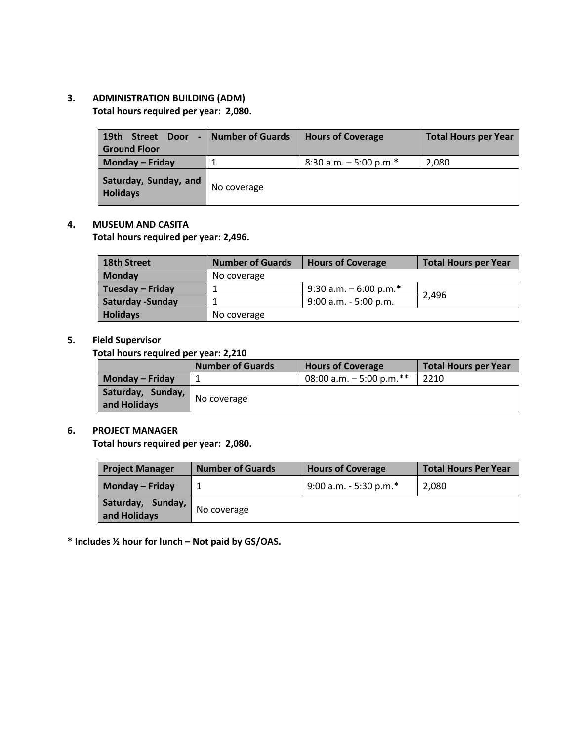# **3. ADMINISTRATION BUILDING (ADM) Total hours required per year: 2,080.**

| 19 <sub>th</sub><br><b>Street</b><br>Door<br><b>Ground Floor</b> | - Number of Guards | <b>Hours of Coverage</b> | <b>Total Hours per Year</b> |
|------------------------------------------------------------------|--------------------|--------------------------|-----------------------------|
| Monday - Friday                                                  |                    | 8:30 a.m. $-5:00$ p.m.*  | 2,080                       |
| Saturday, Sunday, and<br><b>Holidays</b>                         | No coverage        |                          |                             |

### **4. MUSEUM AND CASITA**

**Total hours required per year: 2,496.**

| <b>18th Street</b>       | <b>Number of Guards</b> | <b>Hours of Coverage</b> | Total Hours per Year |
|--------------------------|-------------------------|--------------------------|----------------------|
| <b>Monday</b>            | No coverage             |                          |                      |
| Tuesday – Friday         |                         | 9:30 a.m. $-6:00$ p.m.*  |                      |
| <b>Saturday - Sunday</b> |                         | $9:00$ a.m. - 5:00 p.m.  | 2.496                |
| <b>Holidays</b>          | No coverage             |                          |                      |

# **5. Field Supervisor**

### **Total hours required per year: 2,210**

|                                   | <b>Number of Guards</b> | <b>Hours of Coverage</b>  | Total Hours per Year |
|-----------------------------------|-------------------------|---------------------------|----------------------|
| Monday – Friday                   |                         | 08:00 a.m. $-5:00$ p.m.** | 2210                 |
| Saturday, Sunday,<br>and Holidays | No coverage             |                           |                      |

### **6. PROJECT MANAGER**

**Total hours required per year: 2,080.**

| <b>Project Manager</b>            | <b>Number of Guards</b> | <b>Hours of Coverage</b> | <b>Total Hours Per Year</b> |
|-----------------------------------|-------------------------|--------------------------|-----------------------------|
| Monday – Friday                   |                         | 9:00 a.m. - 5:30 p.m.*   | 2,080                       |
| Saturday, Sunday,<br>and Holidays | No coverage             |                          |                             |

**\* Includes ½ hour for lunch – Not paid by GS/OAS.**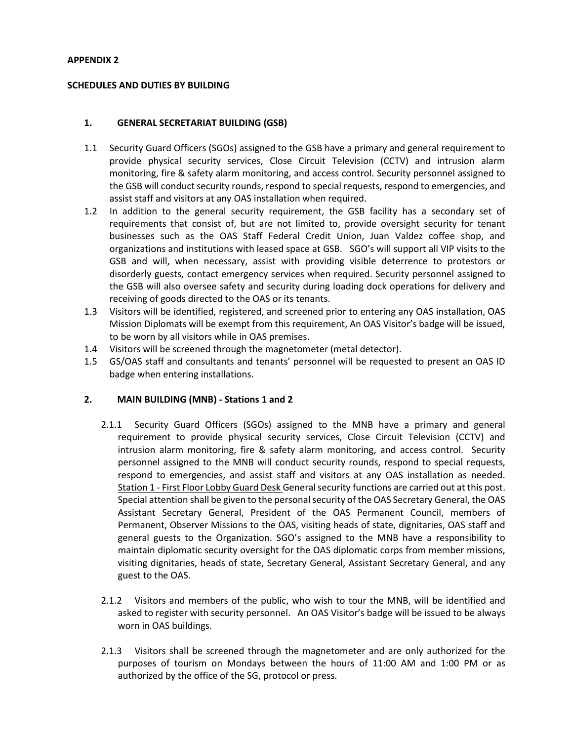### **APPENDIX 2**

### **SCHEDULES AND DUTIES BY BUILDING**

### **1. GENERAL SECRETARIAT BUILDING (GSB)**

- 1.1 Security Guard Officers (SGOs) assigned to the GSB have a primary and general requirement to provide physical security services, Close Circuit Television (CCTV) and intrusion alarm monitoring, fire & safety alarm monitoring, and access control. Security personnel assigned to the GSB will conduct security rounds, respond to special requests, respond to emergencies, and assist staff and visitors at any OAS installation when required.
- 1.2 In addition to the general security requirement, the GSB facility has a secondary set of requirements that consist of, but are not limited to, provide oversight security for tenant businesses such as the OAS Staff Federal Credit Union, Juan Valdez coffee shop, and organizations and institutions with leased space at GSB. SGO's will support all VIP visits to the GSB and will, when necessary, assist with providing visible deterrence to protestors or disorderly guests, contact emergency services when required. Security personnel assigned to the GSB will also oversee safety and security during loading dock operations for delivery and receiving of goods directed to the OAS or its tenants.
- 1.3 Visitors will be identified, registered, and screened prior to entering any OAS installation, OAS Mission Diplomats will be exempt from this requirement, An OAS Visitor's badge will be issued, to be worn by all visitors while in OAS premises.
- 1.4 Visitors will be screened through the magnetometer (metal detector).
- 1.5 GS/OAS staff and consultants and tenants' personnel will be requested to present an OAS ID badge when entering installations.

### **2. MAIN BUILDING (MNB) - Stations 1 and 2**

- 2.1.1 Security Guard Officers (SGOs) assigned to the MNB have a primary and general requirement to provide physical security services, Close Circuit Television (CCTV) and intrusion alarm monitoring, fire & safety alarm monitoring, and access control. Security personnel assigned to the MNB will conduct security rounds, respond to special requests, respond to emergencies, and assist staff and visitors at any OAS installation as needed. Station 1 - First Floor Lobby Guard Desk General security functions are carried out at this post. Special attention shall be given to the personal security of the OAS Secretary General, the OAS Assistant Secretary General, President of the OAS Permanent Council, members of Permanent, Observer Missions to the OAS, visiting heads of state, dignitaries, OAS staff and general guests to the Organization. SGO's assigned to the MNB have a responsibility to maintain diplomatic security oversight for the OAS diplomatic corps from member missions, visiting dignitaries, heads of state, Secretary General, Assistant Secretary General, and any guest to the OAS.
- 2.1.2 Visitors and members of the public, who wish to tour the MNB, will be identified and asked to register with security personnel. An OAS Visitor's badge will be issued to be always worn in OAS buildings.
- 2.1.3 Visitors shall be screened through the magnetometer and are only authorized for the purposes of tourism on Mondays between the hours of 11:00 AM and 1:00 PM or as authorized by the office of the SG, protocol or press.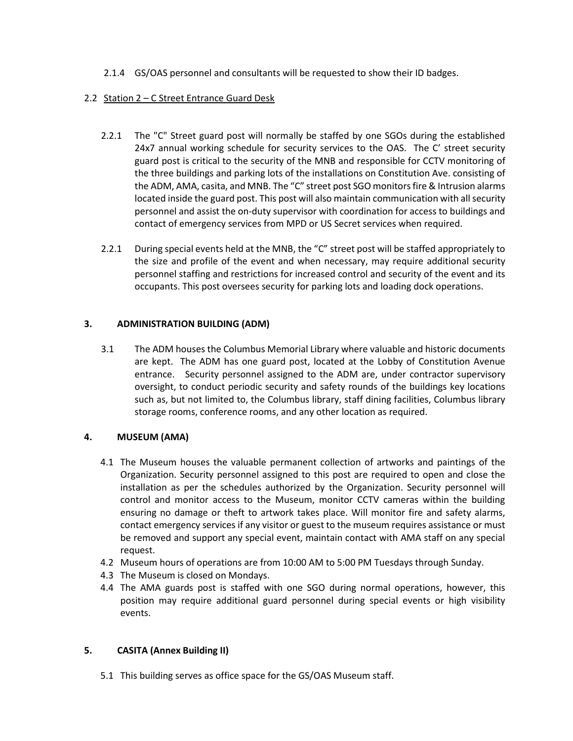2.1.4 GS/OAS personnel and consultants will be requested to show their ID badges.

# 2.2 Station 2 – C Street Entrance Guard Desk

- 2.2.1 The "C" Street guard post will normally be staffed by one SGOs during the established 24x7 annual working schedule for security services to the OAS. The C' street security guard post is critical to the security of the MNB and responsible for CCTV monitoring of the three buildings and parking lots of the installations on Constitution Ave. consisting of the ADM, AMA, casita, and MNB. The "C" street post SGO monitors fire & Intrusion alarms located inside the guard post. This post will also maintain communication with all security personnel and assist the on-duty supervisor with coordination for access to buildings and contact of emergency services from MPD or US Secret services when required.
- 2.2.1 During special events held at the MNB, the "C" street post will be staffed appropriately to the size and profile of the event and when necessary, may require additional security personnel staffing and restrictions for increased control and security of the event and its occupants. This post oversees security for parking lots and loading dock operations.

# **3. ADMINISTRATION BUILDING (ADM)**

3.1 The ADM houses the Columbus Memorial Library where valuable and historic documents are kept. The ADM has one guard post, located at the Lobby of Constitution Avenue entrance. Security personnel assigned to the ADM are, under contractor supervisory oversight, to conduct periodic security and safety rounds of the buildings key locations such as, but not limited to, the Columbus library, staff dining facilities, Columbus library storage rooms, conference rooms, and any other location as required.

# **4. MUSEUM (AMA)**

- 4.1 The Museum houses the valuable permanent collection of artworks and paintings of the Organization. Security personnel assigned to this post are required to open and close the installation as per the schedules authorized by the Organization. Security personnel will control and monitor access to the Museum, monitor CCTV cameras within the building ensuring no damage or theft to artwork takes place. Will monitor fire and safety alarms, contact emergency services if any visitor or guest to the museum requires assistance or must be removed and support any special event, maintain contact with AMA staff on any special request.
- 4.2 Museum hours of operations are from 10:00 AM to 5:00 PM Tuesdays through Sunday.
- 4.3 The Museum is closed on Mondays.
- 4.4 The AMA guards post is staffed with one SGO during normal operations, however, this position may require additional guard personnel during special events or high visibility events.

# **5. CASITA (Annex Building II)**

5.1 This building serves as office space for the GS/OAS Museum staff.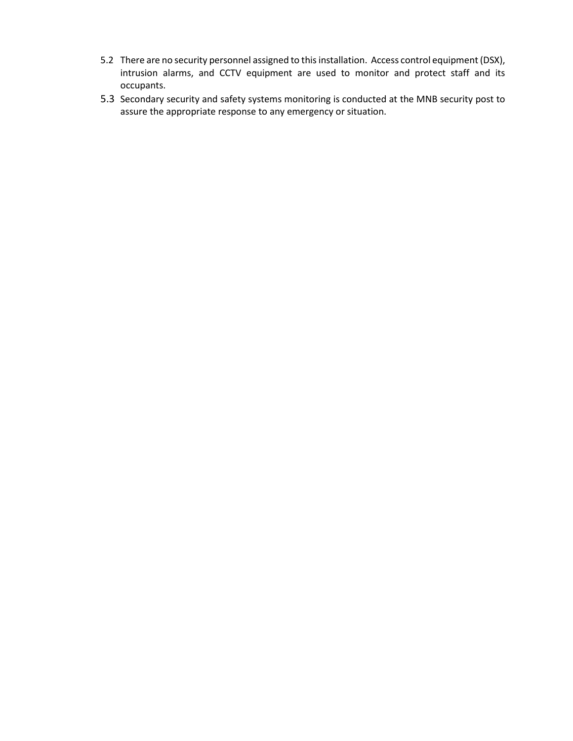- 5.2 There are no security personnel assigned to this installation. Access control equipment (DSX), intrusion alarms, and CCTV equipment are used to monitor and protect staff and its occupants.
- 5.3 Secondary security and safety systems monitoring is conducted at the MNB security post to assure the appropriate response to any emergency or situation.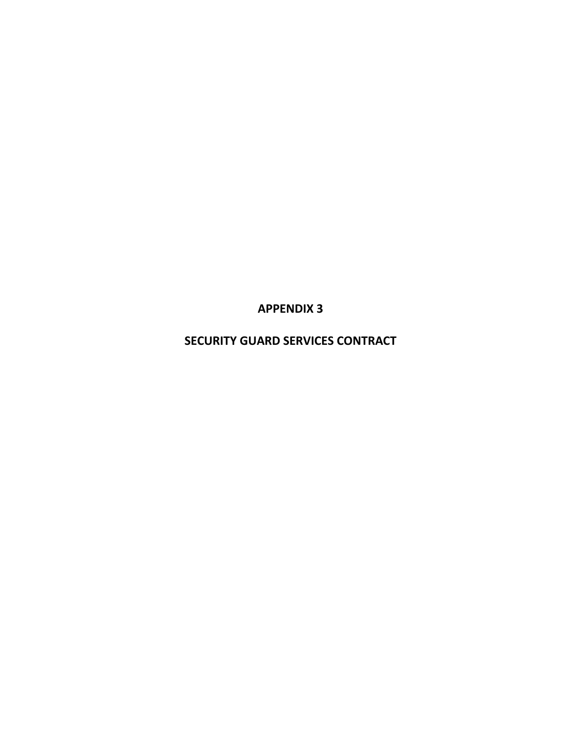**APPENDIX 3**

**SECURITY GUARD SERVICES CONTRACT**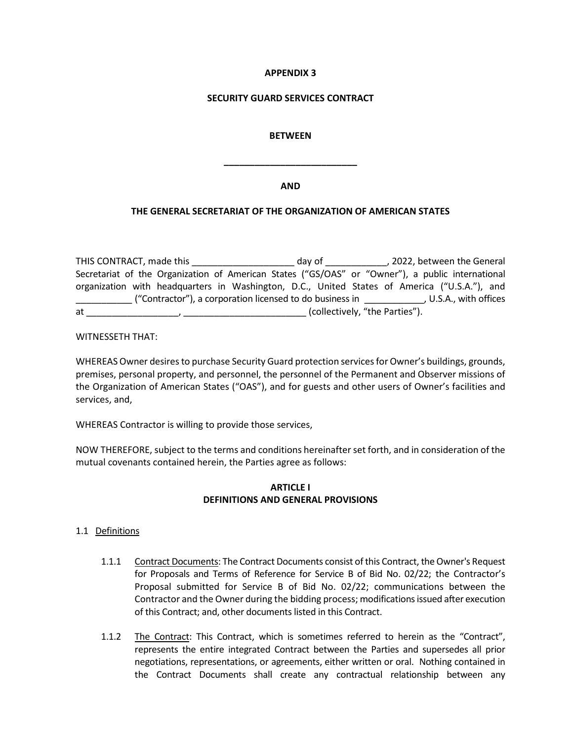### **APPENDIX 3**

### **SECURITY GUARD SERVICES CONTRACT**

### **BETWEEN**

#### **AND**

**\_\_\_\_\_\_\_\_\_\_\_\_\_\_\_\_\_\_\_\_\_\_\_\_\_\_**

### **THE GENERAL SECRETARIAT OF THE ORGANIZATION OF AMERICAN STATES**

THIS CONTRACT, made this \_\_\_\_\_\_\_\_\_\_\_\_\_\_\_\_\_\_\_\_ day of \_\_\_\_\_\_\_\_\_\_\_\_, 2022, between the General Secretariat of the Organization of American States ("GS/OAS" or "Owner"), a public international organization with headquarters in Washington, D.C., United States of America ("U.S.A."), and \_\_\_\_\_\_\_\_\_\_\_ ("Contractor"), a corporation licensed to do business in \_\_\_\_\_\_\_\_\_\_\_\_, U.S.A., with offices at \_\_\_\_\_\_\_\_\_\_\_\_\_\_\_\_\_\_, \_\_\_\_\_\_\_\_\_\_\_\_\_\_\_\_\_\_\_\_\_\_\_\_ (collectively, "the Parties").

WITNESSETH THAT:

WHEREAS Owner desires to purchase Security Guard protection services for Owner's buildings, grounds, premises, personal property, and personnel, the personnel of the Permanent and Observer missions of the Organization of American States ("OAS"), and for guests and other users of Owner's facilities and services, and,

WHEREAS Contractor is willing to provide those services,

NOW THEREFORE, subject to the terms and conditions hereinafter set forth, and in consideration of the mutual covenants contained herein, the Parties agree as follows:

### **ARTICLE I DEFINITIONS AND GENERAL PROVISIONS**

### 1.1 Definitions

- 1.1.1 Contract Documents: The Contract Documents consist of this Contract, the Owner's Request for Proposals and Terms of Reference for Service B of Bid No. 02/22; the Contractor's Proposal submitted for Service B of Bid No. 02/22; communications between the Contractor and the Owner during the bidding process; modifications issued after execution of this Contract; and, other documents listed in this Contract.
- 1.1.2 The Contract: This Contract, which is sometimes referred to herein as the "Contract", represents the entire integrated Contract between the Parties and supersedes all prior negotiations, representations, or agreements, either written or oral. Nothing contained in the Contract Documents shall create any contractual relationship between any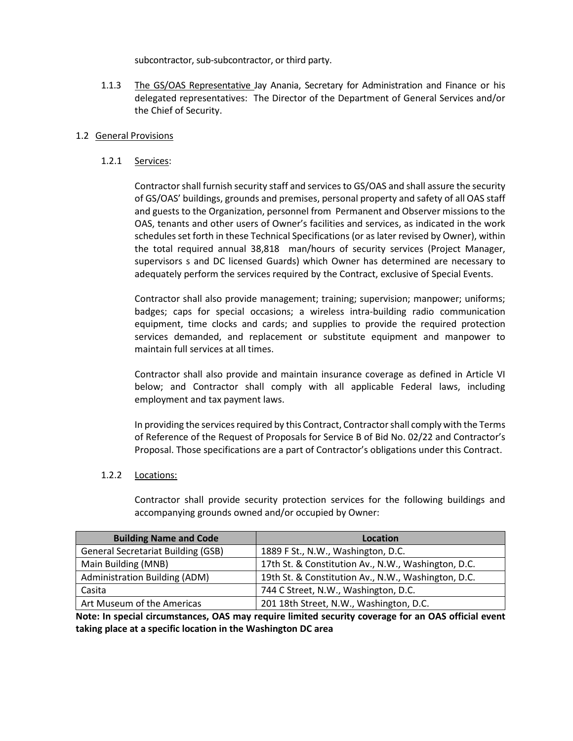subcontractor, sub-subcontractor, or third party.

1.1.3 The GS/OAS Representative Jay Anania, Secretary for Administration and Finance or his delegated representatives: The Director of the Department of General Services and/or the Chief of Security.

### 1.2 General Provisions

1.2.1 Services:

Contractor shall furnish security staff and services to GS/OAS and shall assure the security of GS/OAS' buildings, grounds and premises, personal property and safety of all OAS staff and guests to the Organization, personnel from Permanent and Observer missions to the OAS, tenants and other users of Owner's facilities and services, as indicated in the work schedules set forth in these Technical Specifications (or as later revised by Owner), within the total required annual 38,818 man/hours of security services (Project Manager, supervisors s and DC licensed Guards) which Owner has determined are necessary to adequately perform the services required by the Contract, exclusive of Special Events.

Contractor shall also provide management; training; supervision; manpower; uniforms; badges; caps for special occasions; a wireless intra-building radio communication equipment, time clocks and cards; and supplies to provide the required protection services demanded, and replacement or substitute equipment and manpower to maintain full services at all times.

Contractor shall also provide and maintain insurance coverage as defined in Article VI below; and Contractor shall comply with all applicable Federal laws, including employment and tax payment laws.

In providing the services required by this Contract, Contractor shall comply with the Terms of Reference of the Request of Proposals for Service B of Bid No. 02/22 and Contractor's Proposal. Those specifications are a part of Contractor's obligations under this Contract.

### 1.2.2 Locations:

Contractor shall provide security protection services for the following buildings and accompanying grounds owned and/or occupied by Owner:

| <b>Building Name and Code</b>             | Location                                            |
|-------------------------------------------|-----------------------------------------------------|
| <b>General Secretariat Building (GSB)</b> | 1889 F St., N.W., Washington, D.C.                  |
| Main Building (MNB)                       | 17th St. & Constitution Av., N.W., Washington, D.C. |
| <b>Administration Building (ADM)</b>      | 19th St. & Constitution Av., N.W., Washington, D.C. |
| Casita                                    | 744 C Street, N.W., Washington, D.C.                |
| Art Museum of the Americas                | 201 18th Street, N.W., Washington, D.C.             |

**Note: In special circumstances, OAS may require limited security coverage for an OAS official event taking place at a specific location in the Washington DC area**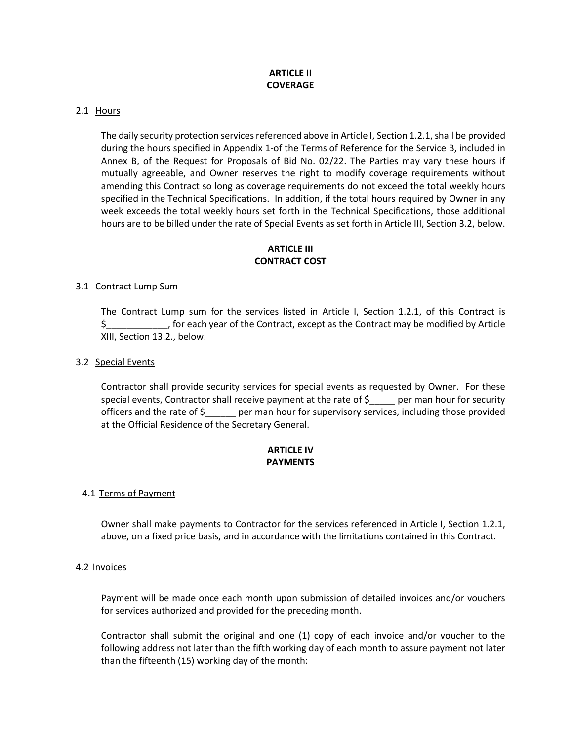# **ARTICLE II COVERAGE**

### 2.1 Hours

The daily security protection services referenced above in Article I, Section 1.2.1, shall be provided during the hours specified in Appendix 1-of the Terms of Reference for the Service B, included in Annex B, of the Request for Proposals of Bid No. 02/22. The Parties may vary these hours if mutually agreeable, and Owner reserves the right to modify coverage requirements without amending this Contract so long as coverage requirements do not exceed the total weekly hours specified in the Technical Specifications. In addition, if the total hours required by Owner in any week exceeds the total weekly hours set forth in the Technical Specifications, those additional hours are to be billed under the rate of Special Events as set forth in Article III, Section 3.2, below.

# **ARTICLE III CONTRACT COST**

### 3.1 Contract Lump Sum

The Contract Lump sum for the services listed in Article I, Section 1.2.1, of this Contract is \$\_\_\_\_\_\_\_\_\_\_\_\_, for each year of the Contract, except as the Contract may be modified by Article XIII, Section 13.2., below.

### 3.2 Special Events

Contractor shall provide security services for special events as requested by Owner. For these special events, Contractor shall receive payment at the rate of \$\_\_\_\_ per man hour for security officers and the rate of \$\_\_\_\_\_\_ per man hour for supervisory services, including those provided at the Official Residence of the Secretary General.

# **ARTICLE IV PAYMENTS**

### 4.1 Terms of Payment

Owner shall make payments to Contractor for the services referenced in Article I, Section 1.2.1, above, on a fixed price basis, and in accordance with the limitations contained in this Contract.

#### 4.2 Invoices

Payment will be made once each month upon submission of detailed invoices and/or vouchers for services authorized and provided for the preceding month.

Contractor shall submit the original and one (1) copy of each invoice and/or voucher to the following address not later than the fifth working day of each month to assure payment not later than the fifteenth (15) working day of the month: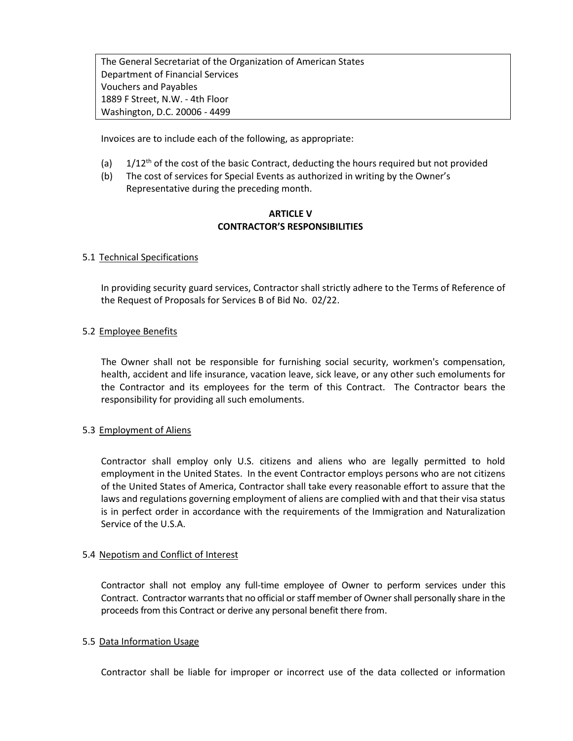The General Secretariat of the Organization of American States Department of Financial Services Vouchers and Payables 1889 F Street, N.W. - 4th Floor Washington, D.C. 20006 - 4499

Invoices are to include each of the following, as appropriate:

- (a)  $1/12^{th}$  of the cost of the basic Contract, deducting the hours required but not provided
- (b) The cost of services for Special Events as authorized in writing by the Owner's Representative during the preceding month.

# **ARTICLE V CONTRACTOR'S RESPONSIBILITIES**

### 5.1 Technical Specifications

In providing security guard services, Contractor shall strictly adhere to the Terms of Reference of the Request of Proposals for Services B of Bid No. 02/22.

### 5.2 Employee Benefits

The Owner shall not be responsible for furnishing social security, workmen's compensation, health, accident and life insurance, vacation leave, sick leave, or any other such emoluments for the Contractor and its employees for the term of this Contract. The Contractor bears the responsibility for providing all such emoluments.

### 5.3 Employment of Aliens

Contractor shall employ only U.S. citizens and aliens who are legally permitted to hold employment in the United States. In the event Contractor employs persons who are not citizens of the United States of America, Contractor shall take every reasonable effort to assure that the laws and regulations governing employment of aliens are complied with and that their visa status is in perfect order in accordance with the requirements of the Immigration and Naturalization Service of the U.S.A.

#### 5.4 Nepotism and Conflict of Interest

Contractor shall not employ any full-time employee of Owner to perform services under this Contract. Contractor warrants that no official or staff member of Owner shall personally share in the proceeds from this Contract or derive any personal benefit there from.

### 5.5 Data Information Usage

Contractor shall be liable for improper or incorrect use of the data collected or information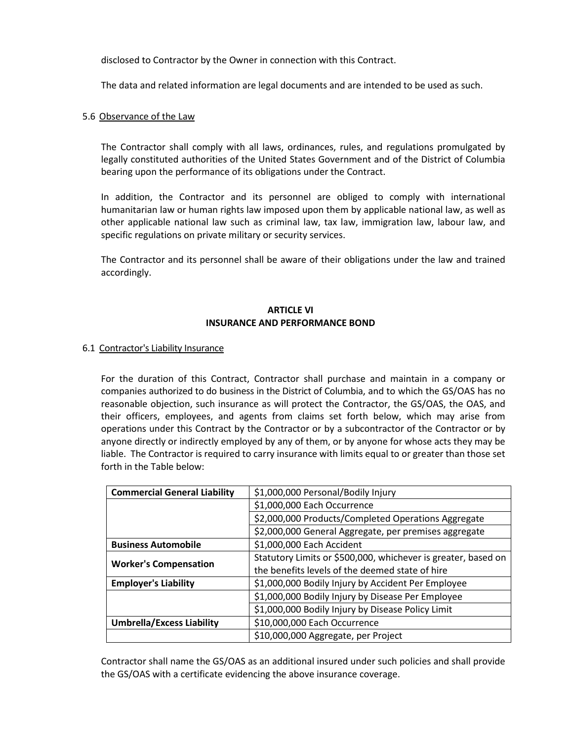disclosed to Contractor by the Owner in connection with this Contract.

The data and related information are legal documents and are intended to be used as such.

### 5.6 Observance of the Law

The Contractor shall comply with all laws, ordinances, rules, and regulations promulgated by legally constituted authorities of the United States Government and of the District of Columbia bearing upon the performance of its obligations under the Contract.

In addition, the Contractor and its personnel are obliged to comply with international humanitarian law or human rights law imposed upon them by applicable national law, as well as other applicable national law such as criminal law, tax law, immigration law, labour law, and specific regulations on private military or security services.

The Contractor and its personnel shall be aware of their obligations under the law and trained accordingly.

# **ARTICLE VI INSURANCE AND PERFORMANCE BOND**

### 6.1 Contractor's Liability Insurance

For the duration of this Contract, Contractor shall purchase and maintain in a company or companies authorized to do business in the District of Columbia, and to which the GS/OAS has no reasonable objection, such insurance as will protect the Contractor, the GS/OAS, the OAS, and their officers, employees, and agents from claims set forth below, which may arise from operations under this Contract by the Contractor or by a subcontractor of the Contractor or by anyone directly or indirectly employed by any of them, or by anyone for whose acts they may be liable. The Contractor is required to carry insurance with limits equal to or greater than those set forth in the Table below:

| <b>Commercial General Liability</b> | \$1,000,000 Personal/Bodily Injury                            |  |  |
|-------------------------------------|---------------------------------------------------------------|--|--|
|                                     | \$1,000,000 Each Occurrence                                   |  |  |
|                                     | \$2,000,000 Products/Completed Operations Aggregate           |  |  |
|                                     | \$2,000,000 General Aggregate, per premises aggregate         |  |  |
| <b>Business Automobile</b>          | \$1,000,000 Each Accident                                     |  |  |
|                                     | Statutory Limits or \$500,000, whichever is greater, based on |  |  |
| <b>Worker's Compensation</b>        | the benefits levels of the deemed state of hire               |  |  |
| <b>Employer's Liability</b>         | \$1,000,000 Bodily Injury by Accident Per Employee            |  |  |
|                                     | \$1,000,000 Bodily Injury by Disease Per Employee             |  |  |
|                                     | \$1,000,000 Bodily Injury by Disease Policy Limit             |  |  |
| <b>Umbrella/Excess Liability</b>    | \$10,000,000 Each Occurrence                                  |  |  |
|                                     | \$10,000,000 Aggregate, per Project                           |  |  |

Contractor shall name the GS/OAS as an additional insured under such policies and shall provide the GS/OAS with a certificate evidencing the above insurance coverage.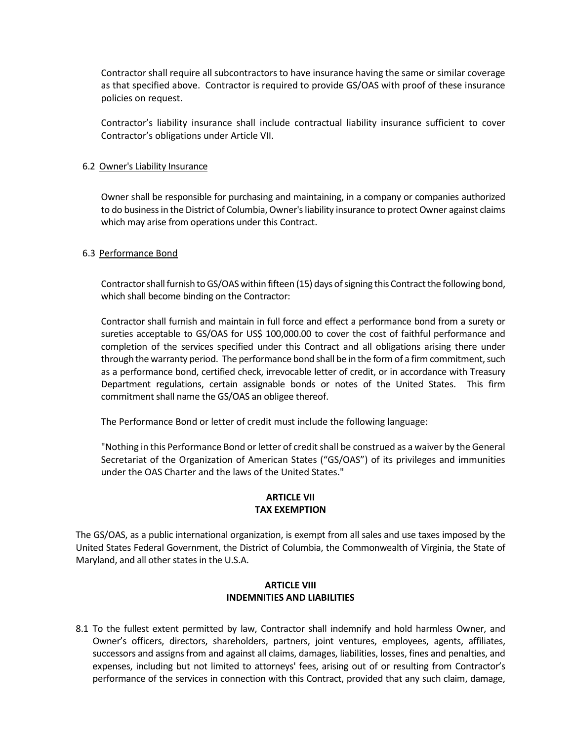Contractor shall require all subcontractors to have insurance having the same or similar coverage as that specified above. Contractor is required to provide GS/OAS with proof of these insurance policies on request.

Contractor's liability insurance shall include contractual liability insurance sufficient to cover Contractor's obligations under Article VII.

### 6.2 Owner's Liability Insurance

Owner shall be responsible for purchasing and maintaining, in a company or companies authorized to do business in the District of Columbia, Owner's liability insurance to protect Owner against claims which may arise from operations under this Contract.

### 6.3 Performance Bond

Contractor shall furnish to GS/OAS within fifteen (15) days of signing this Contract the following bond, which shall become binding on the Contractor:

Contractor shall furnish and maintain in full force and effect a performance bond from a surety or sureties acceptable to GS/OAS for US\$ 100,000.00 to cover the cost of faithful performance and completion of the services specified under this Contract and all obligations arising there under through the warranty period. The performance bond shall be in the form of a firm commitment, such as a performance bond, certified check, irrevocable letter of credit, or in accordance with Treasury Department regulations, certain assignable bonds or notes of the United States. This firm commitment shall name the GS/OAS an obligee thereof.

The Performance Bond or letter of credit must include the following language:

"Nothing in this Performance Bond or letter of credit shall be construed as a waiver by the General Secretariat of the Organization of American States ("GS/OAS") of its privileges and immunities under the OAS Charter and the laws of the United States."

### **ARTICLE VII TAX EXEMPTION**

The GS/OAS, as a public international organization, is exempt from all sales and use taxes imposed by the United States Federal Government, the District of Columbia, the Commonwealth of Virginia, the State of Maryland, and all other states in the U.S.A.

### **ARTICLE VIII INDEMNITIES AND LIABILITIES**

8.1 To the fullest extent permitted by law, Contractor shall indemnify and hold harmless Owner, and Owner's officers, directors, shareholders, partners, joint ventures, employees, agents, affiliates, successors and assigns from and against all claims, damages, liabilities, losses, fines and penalties, and expenses, including but not limited to attorneys' fees, arising out of or resulting from Contractor's performance of the services in connection with this Contract, provided that any such claim, damage,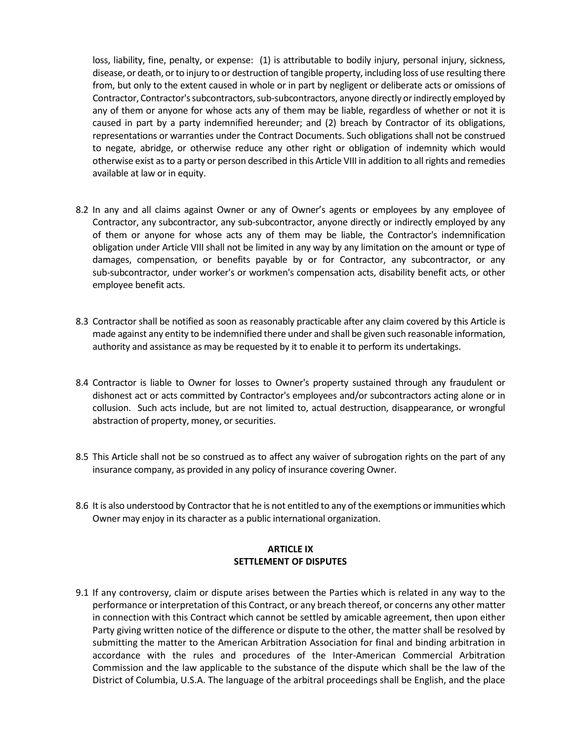loss, liability, fine, penalty, or expense: (1) is attributable to bodily injury, personal injury, sickness, disease, or death, or to injury to or destruction of tangible property, including loss of use resulting there from, but only to the extent caused in whole or in part by negligent or deliberate acts or omissions of Contractor, Contractor's subcontractors, sub-subcontractors, anyone directly or indirectly employed by any of them or anyone for whose acts any of them may be liable, regardless of whether or not it is caused in part by a party indemnified hereunder; and (2) breach by Contractor of its obligations, representations or warranties under the Contract Documents. Such obligations shall not be construed to negate, abridge, or otherwise reduce any other right or obligation of indemnity which would otherwise exist as to a party or person described in this Article VIII in addition to all rights and remedies available at law or in equity.

- 8.2 In any and all claims against Owner or any of Owner's agents or employees by any employee of Contractor, any subcontractor, any sub-subcontractor, anyone directly or indirectly employed by any of them or anyone for whose acts any of them may be liable, the Contractor's indemnification obligation under Article VIII shall not be limited in any way by any limitation on the amount or type of damages, compensation, or benefits payable by or for Contractor, any subcontractor, or any sub-subcontractor, under worker's or workmen's compensation acts, disability benefit acts, or other employee benefit acts.
- 8.3 Contractor shall be notified as soon as reasonably practicable after any claim covered by this Article is made against any entity to be indemnified there under and shall be given such reasonable information, authority and assistance as may be requested by it to enable it to perform its undertakings.
- 8.4 Contractor is liable to Owner for losses to Owner's property sustained through any fraudulent or dishonest act or acts committed by Contractor's employees and/or subcontractors acting alone or in collusion. Such acts include, but are not limited to, actual destruction, disappearance, or wrongful abstraction of property, money, or securities.
- 8.5 This Article shall not be so construed as to affect any waiver of subrogation rights on the part of any insurance company, as provided in any policy of insurance covering Owner.
- 8.6 It is also understood by Contractor that he is not entitled to any of the exemptions or immunities which Owner may enjoy in its character as a public international organization.

### **ARTICLE IX SETTLEMENT OF DISPUTES**

9.1 If any controversy, claim or dispute arises between the Parties which is related in any way to the performance or interpretation of this Contract, or any breach thereof, or concerns any other matter in connection with this Contract which cannot be settled by amicable agreement, then upon either Party giving written notice of the difference or dispute to the other, the matter shall be resolved by submitting the matter to the American Arbitration Association for final and binding arbitration in accordance with the rules and procedures of the Inter-American Commercial Arbitration Commission and the law applicable to the substance of the dispute which shall be the law of the District of Columbia, U.S.A. The language of the arbitral proceedings shall be English, and the place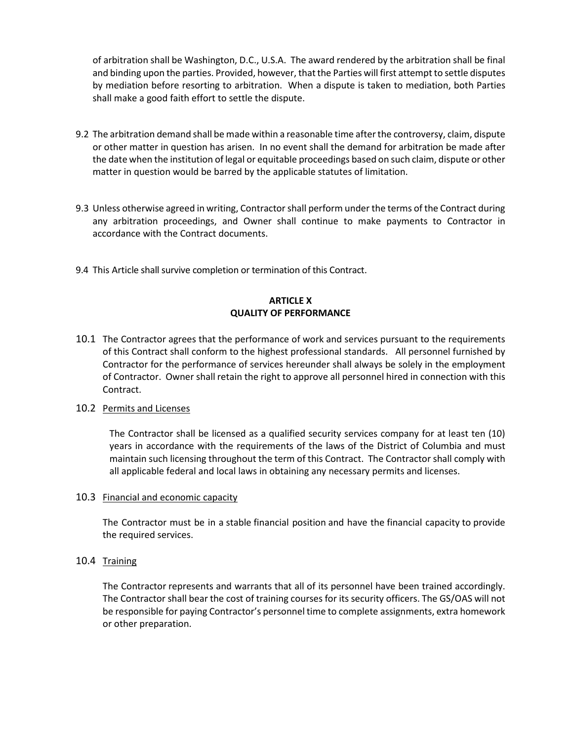of arbitration shall be Washington, D.C., U.S.A. The award rendered by the arbitration shall be final and binding upon the parties. Provided, however, that the Parties will first attempt to settle disputes by mediation before resorting to arbitration. When a dispute is taken to mediation, both Parties shall make a good faith effort to settle the dispute.

- 9.2 The arbitration demand shall be made within a reasonable time after the controversy, claim, dispute or other matter in question has arisen. In no event shall the demand for arbitration be made after the date when the institution of legal or equitable proceedings based on such claim, dispute or other matter in question would be barred by the applicable statutes of limitation.
- 9.3 Unless otherwise agreed in writing, Contractor shall perform under the terms of the Contract during any arbitration proceedings, and Owner shall continue to make payments to Contractor in accordance with the Contract documents.
- 9.4 This Article shall survive completion or termination of this Contract.

### **ARTICLE X QUALITY OF PERFORMANCE**

10.1 The Contractor agrees that the performance of work and services pursuant to the requirements of this Contract shall conform to the highest professional standards. All personnel furnished by Contractor for the performance of services hereunder shall always be solely in the employment of Contractor. Owner shall retain the right to approve all personnel hired in connection with this Contract.

#### 10.2 Permits and Licenses

The Contractor shall be licensed as a qualified security services company for at least ten (10) years in accordance with the requirements of the laws of the District of Columbia and must maintain such licensing throughout the term of this Contract. The Contractor shall comply with all applicable federal and local laws in obtaining any necessary permits and licenses.

#### 10.3 Financial and economic capacity

The Contractor must be in a [stable](https://www.lawinsider.com/dictionary/stable) financial position and have the financial capacity to [provide](https://www.lawinsider.com/clause/provide-the)  [the](https://www.lawinsider.com/clause/provide-the) required services.

### 10.4 Training

The Contractor represents and warrants that all of its personnel have been trained accordingly. The Contractor shall bear the cost of training courses for its security officers. The GS/OAS will not be responsible for paying Contractor's personnel time to complete assignments, extra homework or other preparation.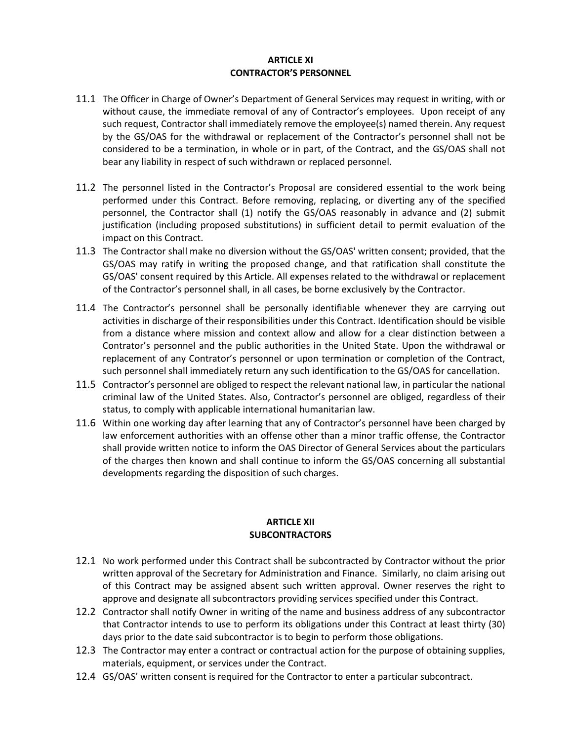### **ARTICLE XI CONTRACTOR'S PERSONNEL**

- 11.1 The Officer in Charge of Owner's Department of General Services may request in writing, with or without cause, the immediate removal of any of Contractor's employees. Upon receipt of any such request, Contractor shall immediately remove the employee(s) named therein. Any request by the GS/OAS for the withdrawal or replacement of the Contractor's personnel shall not be considered to be a termination, in whole or in part, of the Contract, and the GS/OAS shall not bear any liability in respect of such withdrawn or replaced personnel.
- 11.2 The personnel listed in the Contractor's Proposal are considered essential to the work being performed under this Contract. Before removing, replacing, or diverting any of the specified personnel, the Contractor shall (1) notify the GS/OAS reasonably in advance and (2) submit justification (including proposed substitutions) in sufficient detail to permit evaluation of the impact on this Contract.
- 11.3 The Contractor shall make no diversion without the GS/OAS' written consent; provided, that the GS/OAS may ratify in writing the proposed change, and that ratification shall constitute the GS/OAS' consent required by this Article. All expenses related to the withdrawal or replacement of the Contractor's personnel shall, in all cases, be borne exclusively by the Contractor.
- 11.4 The Contractor's personnel shall be personally identifiable whenever they are carrying out activities in discharge of their responsibilities under this Contract. Identification should be visible from a distance where mission and context allow and allow for a clear distinction between a Contrator's personnel and the public authorities in the United State. Upon the withdrawal or replacement of any Contrator's personnel or upon termination or completion of the Contract, such personnel shall immediately return any such identification to the GS/OAS for cancellation.
- 11.5 Contractor's personnel are obliged to respect the relevant national law, in particular the national criminal law of the United States. Also, Contractor's personnel are obliged, regardless of their status, to comply with applicable international humanitarian law.
- 11.6 Within one working day after learning that any of Contractor's personnel have been charged by law enforcement authorities with an offense other than a minor traffic offense, the Contractor shall provide written notice to inform the OAS Director of General Services about the particulars of the charges then known and shall continue to inform the GS/OAS concerning all substantial developments regarding the disposition of such charges.

### **ARTICLE XII SUBCONTRACTORS**

- 12.1 No work performed under this Contract shall be subcontracted by Contractor without the prior written approval of the Secretary for Administration and Finance. Similarly, no claim arising out of this Contract may be assigned absent such written approval. Owner reserves the right to approve and designate all subcontractors providing services specified under this Contract.
- 12.2 Contractor shall notify Owner in writing of the name and business address of any subcontractor that Contractor intends to use to perform its obligations under this Contract at least thirty (30) days prior to the date said subcontractor is to begin to perform those obligations.
- 12.3 The Contractor may enter a contract or contractual action for the purpose of obtaining supplies, materials, equipment, or services under the Contract.
- 12.4 GS/OAS' written consent is required for the Contractor to enter a particular subcontract.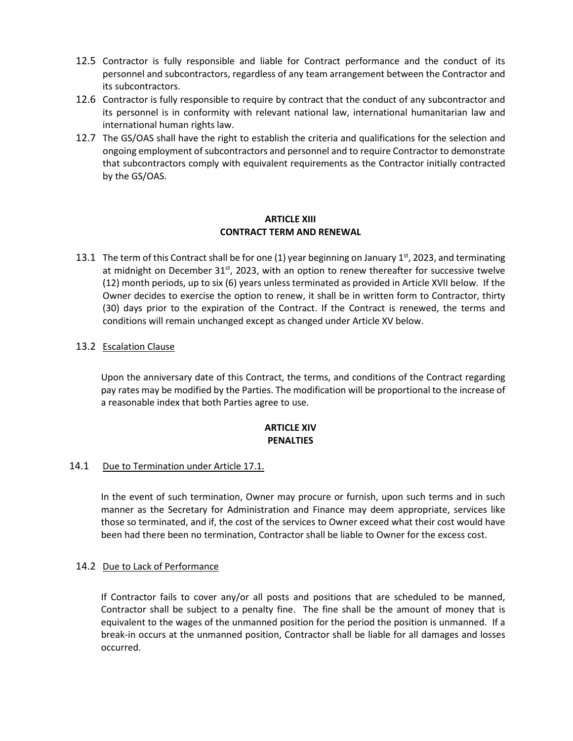- 12.5 Contractor is fully responsible and liable for Contract performance and the conduct of its personnel and subcontractors, regardless of any team arrangement between the Contractor and its subcontractors.
- 12.6 Contractor is fully responsible to require by contract that the conduct of any subcontractor and its personnel is in conformity with relevant national law, international humanitarian law and international human rights law.
- 12.7 The GS/OAS shall have the right to establish the criteria and qualifications for the selection and ongoing employment of subcontractors and personnel and to require Contractor to demonstrate that subcontractors comply with equivalent requirements as the Contractor initially contracted by the GS/OAS.

### **ARTICLE XIII CONTRACT TERM AND RENEWAL**

13.1 The term of this Contract shall be for one (1) year beginning on January 1st, 2023, and terminating at midnight on December  $31^{st}$ , 2023, with an option to renew thereafter for successive twelve (12) month periods, up to six (6) years unless terminated as provided in Article XVII below. If the Owner decides to exercise the option to renew, it shall be in written form to Contractor, thirty (30) days prior to the expiration of the Contract. If the Contract is renewed, the terms and conditions will remain unchanged except as changed under Article XV below.

# 13.2 Escalation Clause

Upon the anniversary date of this Contract, the terms, and conditions of the Contract regarding pay rates may be modified by the Parties. The modification will be proportional to the increase of a reasonable index that both Parties agree to use.

### **ARTICLE XIV PENALTIES**

# 14.1 Due to Termination under Article 17.1.

In the event of such termination, Owner may procure or furnish, upon such terms and in such manner as the Secretary for Administration and Finance may deem appropriate, services like those so terminated, and if, the cost of the services to Owner exceed what their cost would have been had there been no termination, Contractor shall be liable to Owner for the excess cost.

### 14.2 Due to Lack of Performance

If Contractor fails to cover any/or all posts and positions that are scheduled to be manned, Contractor shall be subject to a penalty fine. The fine shall be the amount of money that is equivalent to the wages of the unmanned position for the period the position is unmanned. If a break-in occurs at the unmanned position, Contractor shall be liable for all damages and losses occurred.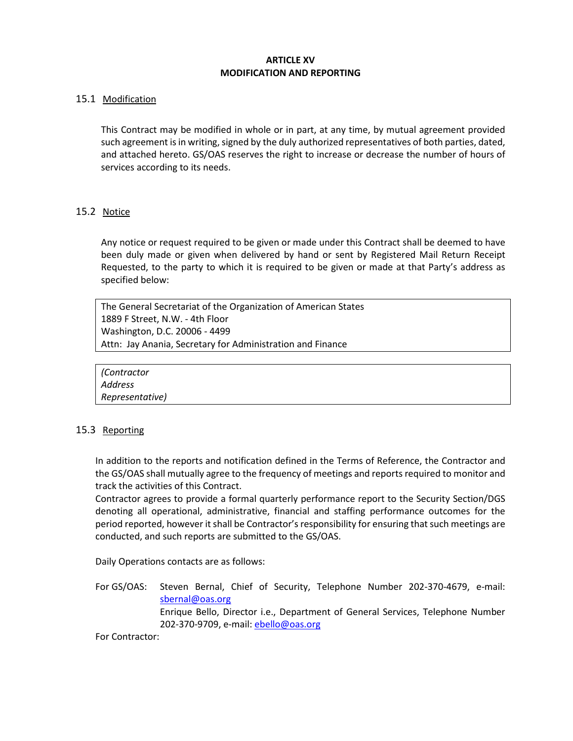# **ARTICLE XV MODIFICATION AND REPORTING**

### 15.1 Modification

This Contract may be modified in whole or in part, at any time, by mutual agreement provided such agreement is in writing, signed by the duly authorized representatives of both parties, dated, and attached hereto. GS/OAS reserves the right to increase or decrease the number of hours of services according to its needs.

# 15.2 Notice

Any notice or request required to be given or made under this Contract shall be deemed to have been duly made or given when delivered by hand or sent by Registered Mail Return Receipt Requested, to the party to which it is required to be given or made at that Party's address as specified below:

The General Secretariat of the Organization of American States 1889 F Street, N.W. - 4th Floor Washington, D.C. 20006 - 4499 Attn: Jay Anania, Secretary for Administration and Finance



### 15.3 Reporting

In addition to the reports and notification defined in the Terms of Reference, the Contractor and the GS/OAS shall mutually agree to the frequency of meetings and reports required to monitor and track the activities of this Contract.

Contractor agrees to provide a formal quarterly performance report to the Security Section/DGS denoting all operational, administrative, financial and staffing performance outcomes for the period reported, however it shall be Contractor's responsibility for ensuring that such meetings are conducted, and such reports are submitted to the GS/OAS.

Daily Operations contacts are as follows:

For GS/OAS: Steven Bernal, Chief of Security, Telephone Number 202-370-4679, e-mail: [sbernal@oas.org](mailto:sbernal@oas.org) Enrique Bello, Director i.e., Department of General Services, Telephone Number 202-370-9709, e-mail: [ebello@oas.org](mailto:ebello@oas.org)

For Contractor: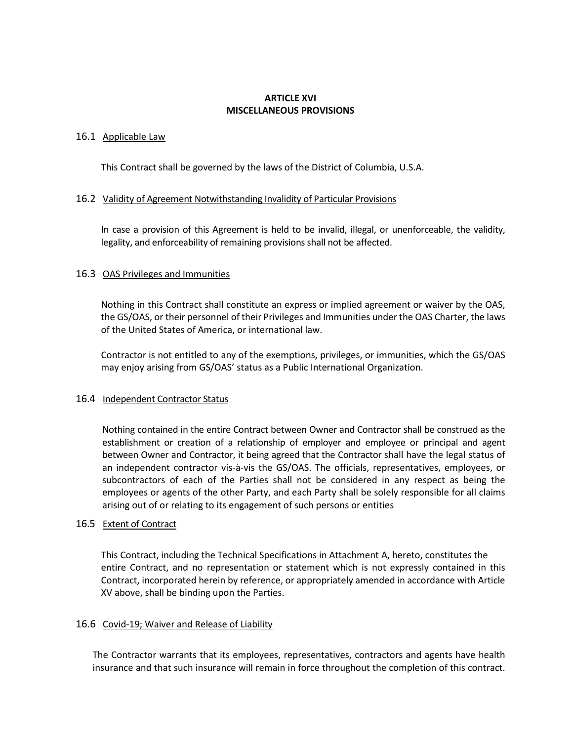### **ARTICLE XVI MISCELLANEOUS PROVISIONS**

### 16.1 Applicable Law

This Contract shall be governed by the laws of the District of Columbia, U.S.A.

### 16.2 Validity of Agreement Notwithstanding Invalidity of Particular Provisions

In case a provision of this Agreement is held to be invalid, illegal, or unenforceable, the validity, legality, and enforceability of remaining provisions shall not be affected.

### 16.3 OAS Privileges and Immunities

Nothing in this Contract shall constitute an express or implied agreement or waiver by the OAS, the GS/OAS, or their personnel of their Privileges and Immunities under the OAS Charter, the laws of the United States of America, or international law.

Contractor is not entitled to any of the exemptions, privileges, or immunities, which the GS/OAS may enjoy arising from GS/OAS' status as a Public International Organization.

### 16.4 Independent Contractor Status

Nothing contained in the entire Contract between Owner and Contractor shall be construed as the establishment or creation of a relationship of employer and employee or principal and agent between Owner and Contractor, it being agreed that the Contractor shall have the legal status of an independent contractor vis-à-vis the GS/OAS. The officials, representatives, employees, or subcontractors of each of the Parties shall not be considered in any respect as being the employees or agents of the other Party, and each Party shall be solely responsible for all claims arising out of or relating to its engagement of such persons or entities

#### 16.5 Extent of Contract

This Contract, including the Technical Specifications in Attachment A, hereto, constitutes the entire Contract, and no representation or statement which is not expressly contained in this Contract, incorporated herein by reference, or appropriately amended in accordance with Article XV above, shall be binding upon the Parties.

#### 16.6 Covid-19; Waiver and Release of Liability

The Contractor warrants that its employees, representatives, contractors and agents have health insurance and that such insurance will remain in force throughout the completion of this contract.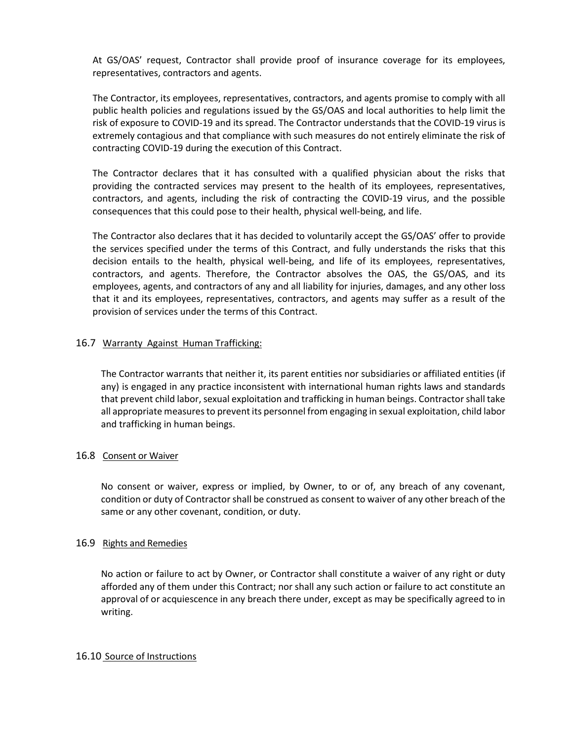At GS/OAS' request, Contractor shall provide proof of insurance coverage for its employees, representatives, contractors and agents.

The Contractor, its employees, representatives, contractors, and agents promise to comply with all public health policies and regulations issued by the GS/OAS and local authorities to help limit the risk of exposure to COVID-19 and its spread. The Contractor understands that the COVID-19 virus is extremely contagious and that compliance with such measures do not entirely eliminate the risk of contracting COVID-19 during the execution of this Contract.

The Contractor declares that it has consulted with a qualified physician about the risks that providing the contracted services may present to the health of its employees, representatives, contractors, and agents, including the risk of contracting the COVID-19 virus, and the possible consequences that this could pose to their health, physical well-being, and life.

The Contractor also declares that it has decided to voluntarily accept the GS/OAS' offer to provide the services specified under the terms of this Contract, and fully understands the risks that this decision entails to the health, physical well-being, and life of its employees, representatives, contractors, and agents. Therefore, the Contractor absolves the OAS, the GS/OAS, and its employees, agents, and contractors of any and all liability for injuries, damages, and any other loss that it and its employees, representatives, contractors, and agents may suffer as a result of the provision of services under the terms of this Contract.

### 16.7 Warranty Against Human Trafficking:

The Contractor warrants that neither it, its parent entities nor subsidiaries or affiliated entities (if any) is engaged in any practice inconsistent with international human rights laws and standards that prevent child labor, sexual exploitation and trafficking in human beings. Contractor shall take all appropriate measures to prevent its personnel from engaging in sexual exploitation, child labor and trafficking in human beings.

### 16.8 Consent or Waiver

No consent or waiver, express or implied, by Owner, to or of, any breach of any covenant, condition or duty of Contractor shall be construed as consent to waiver of any other breach of the same or any other covenant, condition, or duty.

### 16.9 Rights and Remedies

No action or failure to act by Owner, or Contractor shall constitute a waiver of any right or duty afforded any of them under this Contract; nor shall any such action or failure to act constitute an approval of or acquiescence in any breach there under, except as may be specifically agreed to in writing.

### 16.10 Source of Instructions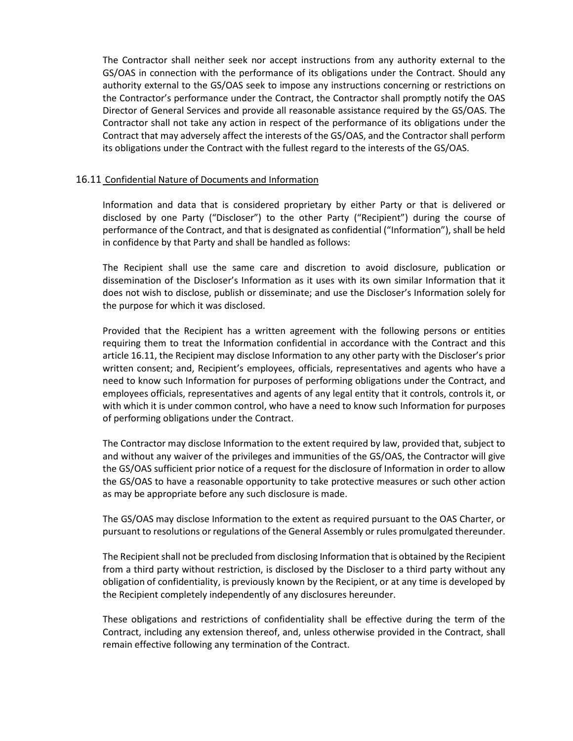The Contractor shall neither seek nor accept instructions from any authority external to the GS/OAS in connection with the performance of its obligations under the Contract. Should any authority external to the GS/OAS seek to impose any instructions concerning or restrictions on the Contractor's performance under the Contract, the Contractor shall promptly notify the OAS Director of General Services and provide all reasonable assistance required by the GS/OAS. The Contractor shall not take any action in respect of the performance of its obligations under the Contract that may adversely affect the interests of the GS/OAS, and the Contractor shall perform its obligations under the Contract with the fullest regard to the interests of the GS/OAS.

### 16.11 Confidential Nature of Documents and Information

Information and data that is considered proprietary by either Party or that is delivered or disclosed by one Party ("Discloser") to the other Party ("Recipient") during the course of performance of the Contract, and that is designated as confidential ("Information"), shall be held in confidence by that Party and shall be handled as follows:

The Recipient shall use the same care and discretion to avoid disclosure, publication or dissemination of the Discloser's Information as it uses with its own similar Information that it does not wish to disclose, publish or disseminate; and use the Discloser's Information solely for the purpose for which it was disclosed.

Provided that the Recipient has a written agreement with the following persons or entities requiring them to treat the Information confidential in accordance with the Contract and this article 16.11, the Recipient may disclose Information to any other party with the Discloser's prior written consent; and, Recipient's employees, officials, representatives and agents who have a need to know such Information for purposes of performing obligations under the Contract, and employees officials, representatives and agents of any legal entity that it controls, controls it, or with which it is under common control, who have a need to know such Information for purposes of performing obligations under the Contract.

The Contractor may disclose Information to the extent required by law, provided that, subject to and without any waiver of the privileges and immunities of the GS/OAS, the Contractor will give the GS/OAS sufficient prior notice of a request for the disclosure of Information in order to allow the GS/OAS to have a reasonable opportunity to take protective measures or such other action as may be appropriate before any such disclosure is made.

The GS/OAS may disclose Information to the extent as required pursuant to the OAS Charter, or pursuant to resolutions or regulations of the General Assembly or rules promulgated thereunder.

The Recipient shall not be precluded from disclosing Information that is obtained by the Recipient from a third party without restriction, is disclosed by the Discloser to a third party without any obligation of confidentiality, is previously known by the Recipient, or at any time is developed by the Recipient completely independently of any disclosures hereunder.

These obligations and restrictions of confidentiality shall be effective during the term of the Contract, including any extension thereof, and, unless otherwise provided in the Contract, shall remain effective following any termination of the Contract.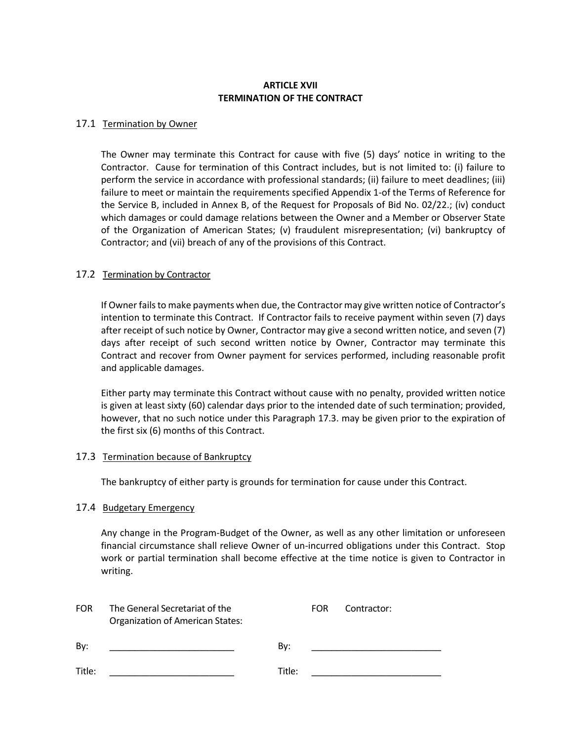### **ARTICLE XVII TERMINATION OF THE CONTRACT**

### 17.1 Termination by Owner

The Owner may terminate this Contract for cause with five (5) days' notice in writing to the Contractor. Cause for termination of this Contract includes, but is not limited to: (i) failure to perform the service in accordance with professional standards; (ii) failure to meet deadlines; (iii) failure to meet or maintain the requirements specified Appendix 1-of the Terms of Reference for the Service B, included in Annex B, of the Request for Proposals of Bid No. 02/22.; (iv) conduct which damages or could damage relations between the Owner and a Member or Observer State of the Organization of American States; (v) fraudulent misrepresentation; (vi) bankruptcy of Contractor; and (vii) breach of any of the provisions of this Contract.

### 17.2 Termination by Contractor

If Owner fails to make payments when due, the Contractor may give written notice of Contractor's intention to terminate this Contract. If Contractor fails to receive payment within seven (7) days after receipt of such notice by Owner, Contractor may give a second written notice, and seven (7) days after receipt of such second written notice by Owner, Contractor may terminate this Contract and recover from Owner payment for services performed, including reasonable profit and applicable damages.

Either party may terminate this Contract without cause with no penalty, provided written notice is given at least sixty (60) calendar days prior to the intended date of such termination; provided, however, that no such notice under this Paragraph 17.3. may be given prior to the expiration of the first six (6) months of this Contract.

#### 17.3 Termination because of Bankruptcy

The bankruptcy of either party is grounds for termination for cause under this Contract.

#### 17.4 Budgetary Emergency

Any change in the Program-Budget of the Owner, as well as any other limitation or unforeseen financial circumstance shall relieve Owner of un-incurred obligations under this Contract. Stop work or partial termination shall become effective at the time notice is given to Contractor in writing.

| <b>FOR</b> | The General Secretariat of the<br><b>Organization of American States:</b> |        | <b>FOR</b> | Contractor: |
|------------|---------------------------------------------------------------------------|--------|------------|-------------|
| By:        |                                                                           | By:    |            |             |
| Title:     |                                                                           | Title: |            |             |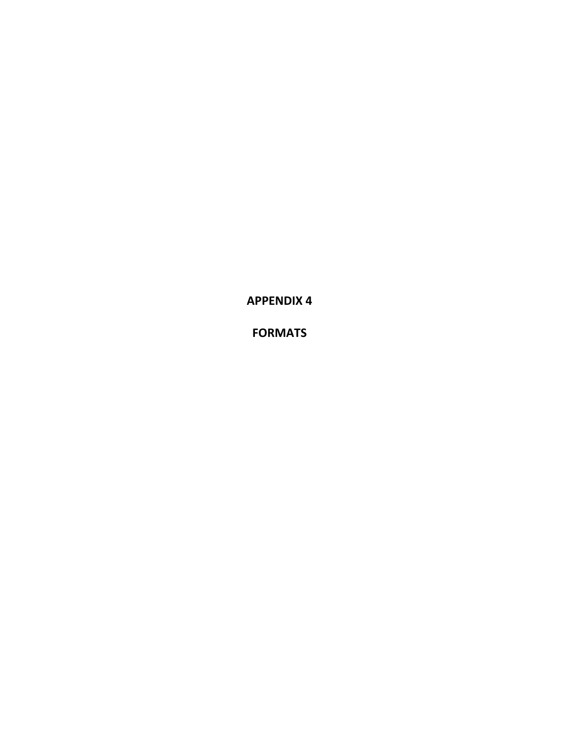**APPENDIX 4**

**FORMATS**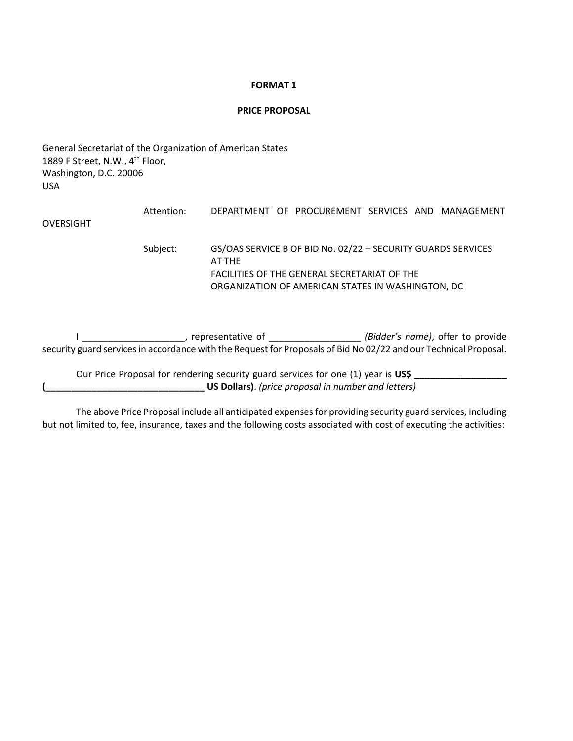#### **FORMAT 1**

#### **PRICE PROPOSAL**

General Secretariat of the Organization of American States 1889 F Street, N.W., 4<sup>th</sup> Floor, Washington, D.C. 20006 USA

|           | Attention: | DEPARTMENT OF PROCUREMENT SERVICES AND MANAGEMENT                      |
|-----------|------------|------------------------------------------------------------------------|
| OVERSIGHT |            |                                                                        |
|           | Subject:   | GS/OAS SERVICE B OF BID No. 02/22 - SECURITY GUARDS SERVICES<br>AT THE |
|           |            | FACILITIES OF THE GENERAL SECRETARIAT OF THE                           |
|           |            | ORGANIZATION OF AMERICAN STATES IN WASHINGTON, DC                      |

I \_\_\_\_\_\_\_\_\_\_\_\_\_\_\_\_\_\_\_\_, representative of \_\_\_\_\_\_\_\_\_\_\_\_\_\_\_\_\_\_ *(Bidder's name)*, offer to provide security guard services in accordance with the Request for Proposals of Bid No 02/22 and our Technical Proposal.

Our Price Proposal for rendering security guard services for one (1) year is US\$ \_\_\_\_ **(\_\_\_\_\_\_\_\_\_\_\_\_\_\_\_\_\_\_\_\_\_\_\_\_\_\_\_\_\_\_\_ US Dollars)**. *(price proposal in number and letters)*

The above Price Proposal include all anticipated expenses for providing security guard services, including but not limited to, fee, insurance, taxes and the following costs associated with cost of executing the activities: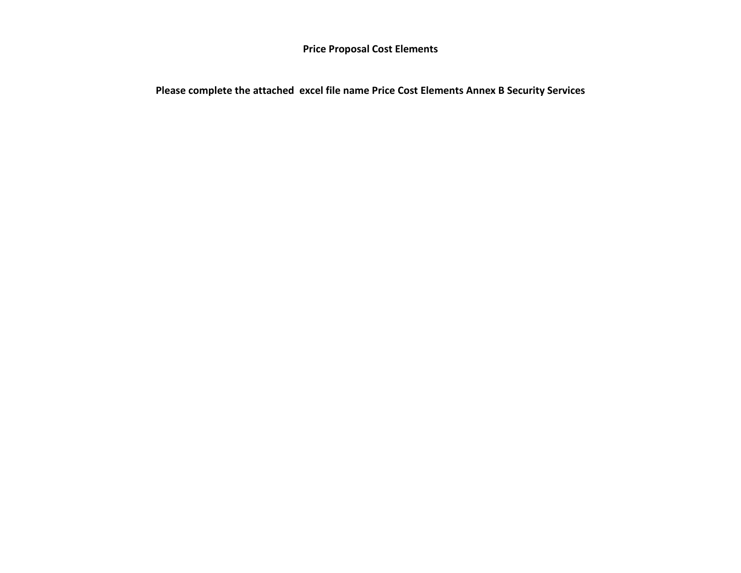**Price Proposal Cost Elements**

**Please complete the attached excel file name Price Cost Elements Annex B Security Services**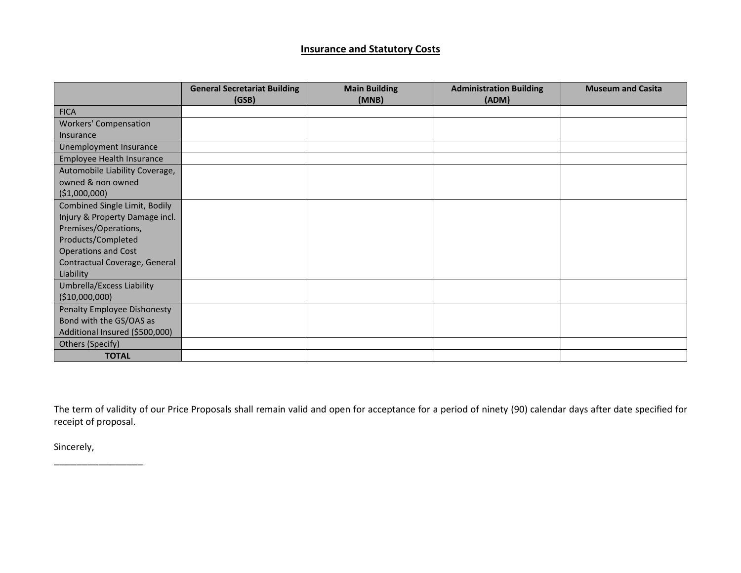# **Insurance and Statutory Costs**

|                                | <b>General Secretariat Building</b><br>(GSB) | <b>Main Building</b><br>(MNB) | <b>Administration Building</b><br>(ADM) | <b>Museum and Casita</b> |
|--------------------------------|----------------------------------------------|-------------------------------|-----------------------------------------|--------------------------|
| <b>FICA</b>                    |                                              |                               |                                         |                          |
| <b>Workers' Compensation</b>   |                                              |                               |                                         |                          |
| Insurance                      |                                              |                               |                                         |                          |
| Unemployment Insurance         |                                              |                               |                                         |                          |
| Employee Health Insurance      |                                              |                               |                                         |                          |
| Automobile Liability Coverage, |                                              |                               |                                         |                          |
| owned & non owned              |                                              |                               |                                         |                          |
| ( \$1,000,000)                 |                                              |                               |                                         |                          |
| Combined Single Limit, Bodily  |                                              |                               |                                         |                          |
| Injury & Property Damage incl. |                                              |                               |                                         |                          |
| Premises/Operations,           |                                              |                               |                                         |                          |
| Products/Completed             |                                              |                               |                                         |                          |
| <b>Operations and Cost</b>     |                                              |                               |                                         |                          |
| Contractual Coverage, General  |                                              |                               |                                         |                          |
| Liability                      |                                              |                               |                                         |                          |
| Umbrella/Excess Liability      |                                              |                               |                                         |                          |
| (\$10,000,000)                 |                                              |                               |                                         |                          |
| Penalty Employee Dishonesty    |                                              |                               |                                         |                          |
| Bond with the GS/OAS as        |                                              |                               |                                         |                          |
| Additional Insured (\$500,000) |                                              |                               |                                         |                          |
| Others (Specify)               |                                              |                               |                                         |                          |
| <b>TOTAL</b>                   |                                              |                               |                                         |                          |

The term of validity of our Price Proposals shall remain valid and open for acceptance for a period of ninety (90) calendar days after date specified for receipt of proposal.

Sincerely,

\_\_\_\_\_\_\_\_\_\_\_\_\_\_\_\_